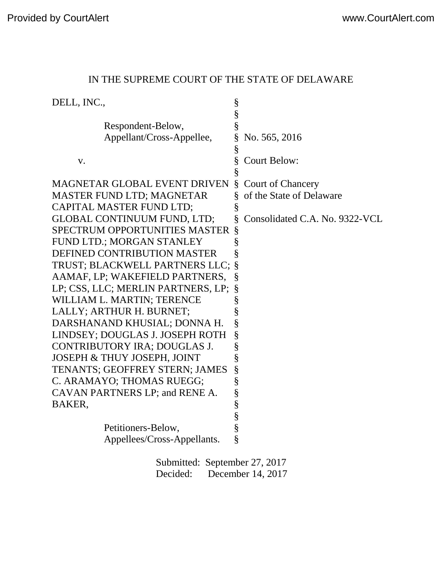| DELL, INC.,                          | §    |                                |
|--------------------------------------|------|--------------------------------|
|                                      | $\S$ |                                |
| Respondent-Below,                    | §    |                                |
| Appellant/Cross-Appellee,            | §    | No. 565, 2016                  |
|                                      | §    |                                |
| V.                                   | §    | <b>Court Below:</b>            |
|                                      | §    |                                |
| <b>MAGNETAR GLOBAL EVENT DRIVEN</b>  | Ş    | <b>Court of Chancery</b>       |
| <b>MASTER FUND LTD; MAGNETAR</b>     |      | of the State of Delaware       |
| CAPITAL MASTER FUND LTD;             | §    |                                |
| <b>GLOBAL CONTINUUM FUND, LTD;</b>   | §    | Consolidated C.A. No. 9322-VCL |
| <b>SPECTRUM OPPORTUNITIES MASTER</b> | §    |                                |
| FUND LTD.; MORGAN STANLEY            | §    |                                |
| DEFINED CONTRIBUTION MASTER          | §    |                                |
| TRUST; BLACKWELL PARTNERS LLC;       | §    |                                |
| AAMAF, LP; WAKEFIELD PARTNERS,       | §    |                                |
| LP; CSS, LLC; MERLIN PARTNERS, LP;   | §    |                                |
| WILLIAM L. MARTIN; TERENCE           | §    |                                |
| LALLY; ARTHUR H. BURNET;             | §    |                                |
| DARSHANAND KHUSIAL; DONNA H.         | §    |                                |
| LINDSEY; DOUGLAS J. JOSEPH ROTH      | §    |                                |
| CONTRIBUTORY IRA; DOUGLAS J.         | §    |                                |
| JOSEPH & THUY JOSEPH, JOINT          | §    |                                |
| TENANTS; GEOFFREY STERN; JAMES       | §    |                                |
| C. ARAMAYO; THOMAS RUEGG;            | §    |                                |
| CAVAN PARTNERS LP; and RENE A.       | §    |                                |
| BAKER,                               | $\S$ |                                |
|                                      | §    |                                |
| Petitioners-Below,                   | §    |                                |
| Appellees/Cross-Appellants.          | Ş    |                                |
| Submitted: Santamber 27 2017         |      |                                |

# IN THE SUPREME COURT OF THE STATE OF DELAWARE

Submitted: September 27, 2017 Decided: December 14, 2017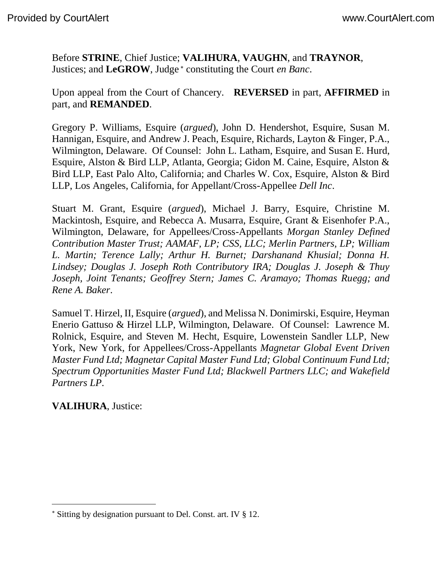Before **STRINE**, Chief Justice; **VALIHURA**, **VAUGHN**, and **TRAYNOR**, Justices; and LeGROW, Judge<sup>\*</sup> constituting the Court *en Banc*.

Upon appeal from the Court of Chancery. **REVERSED** in part, **AFFIRMED** in part, and **REMANDED**.

Gregory P. Williams, Esquire (*argued*), John D. Hendershot, Esquire, Susan M. Hannigan, Esquire, and Andrew J. Peach, Esquire, Richards, Layton & Finger, P.A., Wilmington, Delaware. Of Counsel: John L. Latham, Esquire, and Susan E. Hurd, Esquire, Alston & Bird LLP, Atlanta, Georgia; Gidon M. Caine, Esquire, Alston & Bird LLP, East Palo Alto, California; and Charles W. Cox, Esquire, Alston & Bird LLP, Los Angeles, California, for Appellant/Cross-Appellee *Dell Inc*.

Stuart M. Grant, Esquire (*argued*), Michael J. Barry, Esquire, Christine M. Mackintosh, Esquire, and Rebecca A. Musarra, Esquire, Grant & Eisenhofer P.A., Wilmington, Delaware, for Appellees/Cross-Appellants *Morgan Stanley Defined Contribution Master Trust; AAMAF, LP; CSS, LLC; Merlin Partners, LP; William L. Martin; Terence Lally; Arthur H. Burnet; Darshanand Khusial; Donna H. Lindsey; Douglas J. Joseph Roth Contributory IRA; Douglas J. Joseph & Thuy Joseph, Joint Tenants; Geoffrey Stern; James C. Aramayo; Thomas Ruegg; and Rene A. Baker*.

Samuel T. Hirzel, II, Esquire (*argued*), and Melissa N. Donimirski, Esquire, Heyman Enerio Gattuso & Hirzel LLP, Wilmington, Delaware. Of Counsel: Lawrence M. Rolnick, Esquire, and Steven M. Hecht, Esquire, Lowenstein Sandler LLP, New York, New York, for Appellees/Cross-Appellants *Magnetar Global Event Driven Master Fund Ltd; Magnetar Capital Master Fund Ltd; Global Continuum Fund Ltd; Spectrum Opportunities Master Fund Ltd; Blackwell Partners LLC; and Wakefield Partners LP*.

**VALIHURA**, Justice:

Sitting by designation pursuant to Del. Const. art. IV § 12.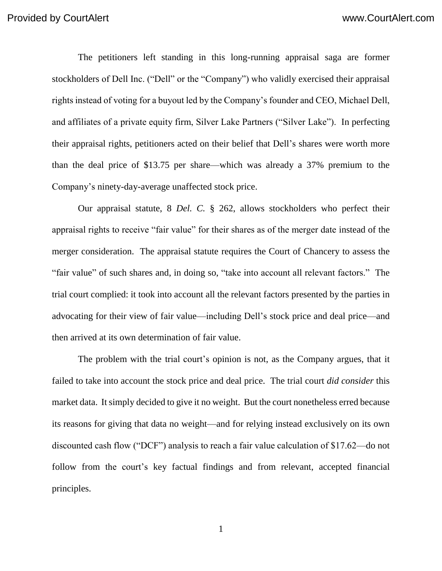The petitioners left standing in this long-running appraisal saga are former stockholders of Dell Inc. ("Dell" or the "Company") who validly exercised their appraisal rights instead of voting for a buyout led by the Company's founder and CEO, Michael Dell, and affiliates of a private equity firm, Silver Lake Partners ("Silver Lake"). In perfecting their appraisal rights, petitioners acted on their belief that Dell's shares were worth more than the deal price of \$13.75 per share—which was already a 37% premium to the Company's ninety-day-average unaffected stock price.

Our appraisal statute, 8 *Del. C.* § 262, allows stockholders who perfect their appraisal rights to receive "fair value" for their shares as of the merger date instead of the merger consideration. The appraisal statute requires the Court of Chancery to assess the "fair value" of such shares and, in doing so, "take into account all relevant factors." The trial court complied: it took into account all the relevant factors presented by the parties in advocating for their view of fair value—including Dell's stock price and deal price—and then arrived at its own determination of fair value.

The problem with the trial court's opinion is not, as the Company argues, that it failed to take into account the stock price and deal price. The trial court *did consider* this market data. It simply decided to give it no weight. But the court nonetheless erred because its reasons for giving that data no weight—and for relying instead exclusively on its own discounted cash flow ("DCF") analysis to reach a fair value calculation of \$17.62—do not follow from the court's key factual findings and from relevant, accepted financial principles.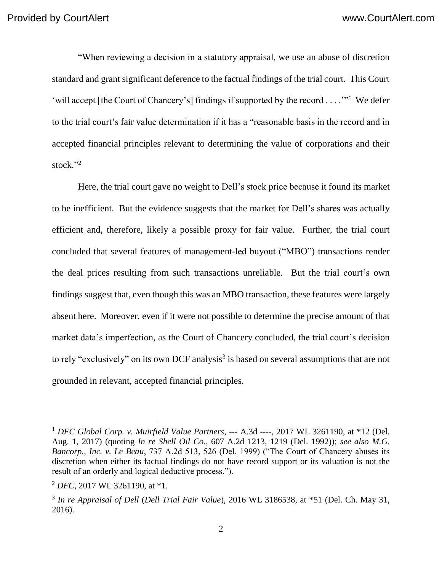"When reviewing a decision in a statutory appraisal, we use an abuse of discretion standard and grant significant deference to the factual findings of the trial court. This Court 'will accept [the Court of Chancery's] findings if supported by the record . . . .'"<sup>1</sup> We defer to the trial court's fair value determination if it has a "reasonable basis in the record and in accepted financial principles relevant to determining the value of corporations and their stock." 2

Here, the trial court gave no weight to Dell's stock price because it found its market to be inefficient. But the evidence suggests that the market for Dell's shares was actually efficient and, therefore, likely a possible proxy for fair value. Further, the trial court concluded that several features of management-led buyout ("MBO") transactions render the deal prices resulting from such transactions unreliable. But the trial court's own findings suggest that, even though this was an MBO transaction, these features were largely absent here. Moreover, even if it were not possible to determine the precise amount of that market data's imperfection, as the Court of Chancery concluded, the trial court's decision to rely "exclusively" on its own DCF analysis<sup>3</sup> is based on several assumptions that are not grounded in relevant, accepted financial principles.

<sup>1</sup> *DFC Global Corp. v. Muirfield Value Partners*, --- A.3d ----, 2017 WL 3261190, at \*12 (Del. Aug. 1, 2017) (quoting *In re Shell Oil Co.*, 607 A.2d 1213, 1219 (Del. 1992)); *see also M.G. Bancorp., Inc. v. Le Beau*, 737 A.2d 513, 526 (Del. 1999) ("The Court of Chancery abuses its discretion when either its factual findings do not have record support or its valuation is not the result of an orderly and logical deductive process.").

<sup>2</sup> *DFC*, 2017 WL 3261190, at \*1.

<sup>3</sup> *In re Appraisal of Dell* (*Dell Trial Fair Value*), 2016 WL 3186538, at \*51 (Del. Ch. May 31, 2016).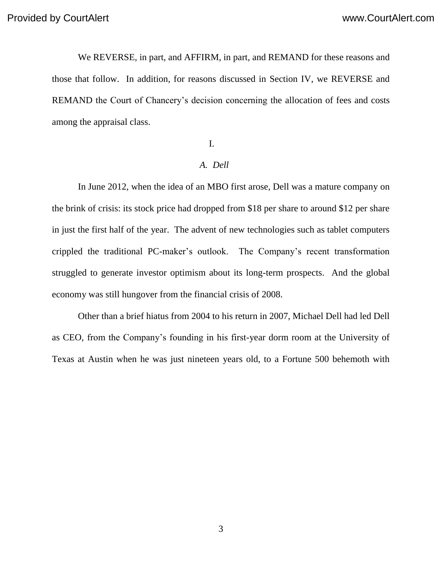We REVERSE, in part, and AFFIRM, in part, and REMAND for these reasons and those that follow. In addition, for reasons discussed in Section IV, we REVERSE and REMAND the Court of Chancery's decision concerning the allocation of fees and costs among the appraisal class.

#### I.

#### *A. Dell*

In June 2012, when the idea of an MBO first arose, Dell was a mature company on the brink of crisis: its stock price had dropped from \$18 per share to around \$12 per share in just the first half of the year. The advent of new technologies such as tablet computers crippled the traditional PC-maker's outlook. The Company's recent transformation struggled to generate investor optimism about its long-term prospects. And the global economy was still hungover from the financial crisis of 2008.

Other than a brief hiatus from 2004 to his return in 2007, Michael Dell had led Dell as CEO, from the Company's founding in his first-year dorm room at the University of Texas at Austin when he was just nineteen years old, to a Fortune 500 behemoth with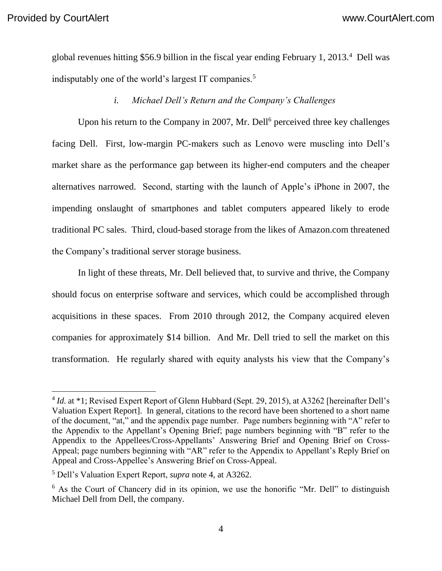$\overline{a}$ 

global revenues hitting \$56.9 billion in the fiscal year ending February 1, 2013.<sup>4</sup> Dell was indisputably one of the world's largest IT companies.<sup>5</sup>

*i. Michael Dell's Return and the Company's Challenges*

Upon his return to the Company in 2007, Mr. Dell<sup>6</sup> perceived three key challenges facing Dell. First, low-margin PC-makers such as Lenovo were muscling into Dell's market share as the performance gap between its higher-end computers and the cheaper alternatives narrowed. Second, starting with the launch of Apple's iPhone in 2007, the impending onslaught of smartphones and tablet computers appeared likely to erode traditional PC sales. Third, cloud-based storage from the likes of Amazon.com threatened the Company's traditional server storage business.

In light of these threats, Mr. Dell believed that, to survive and thrive, the Company should focus on enterprise software and services, which could be accomplished through acquisitions in these spaces. From 2010 through 2012, the Company acquired eleven companies for approximately \$14 billion. And Mr. Dell tried to sell the market on this transformation. He regularly shared with equity analysts his view that the Company's

<sup>&</sup>lt;sup>4</sup> *Id.* at \*1; Revised Expert Report of Glenn Hubbard (Sept. 29, 2015), at A3262 [hereinafter Dell's Valuation Expert Report]. In general, citations to the record have been shortened to a short name of the document, "at," and the appendix page number. Page numbers beginning with "A" refer to the Appendix to the Appellant's Opening Brief; page numbers beginning with "B" refer to the Appendix to the Appellees/Cross-Appellants' Answering Brief and Opening Brief on Cross-Appeal; page numbers beginning with "AR" refer to the Appendix to Appellant's Reply Brief on Appeal and Cross-Appellee's Answering Brief on Cross-Appeal.

<sup>5</sup> Dell's Valuation Expert Report, *supra* note 4, at A3262.

 $6$  As the Court of Chancery did in its opinion, we use the honorific "Mr. Dell" to distinguish Michael Dell from Dell, the company.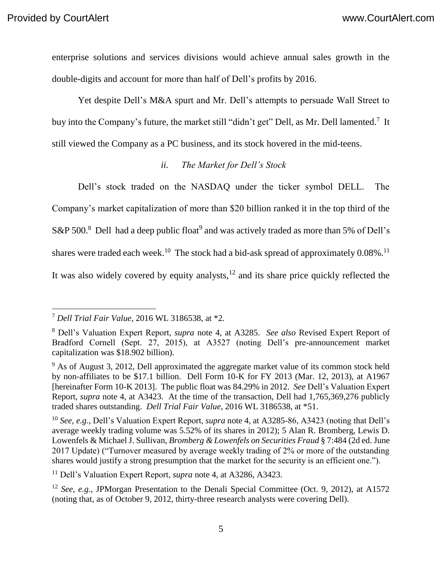enterprise solutions and services divisions would achieve annual sales growth in the double-digits and account for more than half of Dell's profits by 2016.

Yet despite Dell's M&A spurt and Mr. Dell's attempts to persuade Wall Street to buy into the Company's future, the market still "didn't get" Dell, as Mr. Dell lamented.<sup>7</sup> It still viewed the Company as a PC business, and its stock hovered in the mid-teens.

#### *ii. The Market for Dell's Stock*

Dell's stock traded on the NASDAQ under the ticker symbol DELL. The Company's market capitalization of more than \$20 billion ranked it in the top third of the

S&P 500.<sup>8</sup> Dell had a deep public float<sup>9</sup> and was actively traded as more than 5% of Dell's

shares were traded each week.<sup>10</sup> The stock had a bid-ask spread of approximately  $0.08\%$ .<sup>11</sup>

It was also widely covered by equity analysts, $12$  and its share price quickly reflected the

<sup>11</sup> Dell's Valuation Expert Report, *supra* note 4, at A3286, A3423.

<sup>7</sup> *Dell Trial Fair Value*, 2016 WL 3186538, at \*2.

<sup>8</sup> Dell's Valuation Expert Report, *supra* note 4, at A3285. *See also* Revised Expert Report of Bradford Cornell (Sept. 27, 2015), at A3527 (noting Dell's pre-announcement market capitalization was \$18.902 billion).

 $9<sup>9</sup>$  As of August 3, 2012, Dell approximated the aggregate market value of its common stock held by non-affiliates to be \$17.1 billion. Dell Form 10-K for FY 2013 (Mar. 12, 2013), at A1967 [hereinafter Form 10-K 2013]. The public float was 84.29% in 2012. *See* Dell's Valuation Expert Report, *supra* note 4, at A3423. At the time of the transaction, Dell had 1,765,369,276 publicly traded shares outstanding. *Dell Trial Fair Value*, 2016 WL 3186538, at \*51.

<sup>10</sup> *See, e.g.*, Dell's Valuation Expert Report, *supra* note 4, at A3285-86, A3423 (noting that Dell's average weekly trading volume was 5.52% of its shares in 2012); 5 Alan R. Bromberg, Lewis D. Lowenfels & Michael J. Sullivan, *Bromberg & Lowenfels on Securities Fraud* § 7:484 (2d ed. June 2017 Update) ("Turnover measured by average weekly trading of 2% or more of the outstanding shares would justify a strong presumption that the market for the security is an efficient one.").

<sup>12</sup> *See, e.g.*, JPMorgan Presentation to the Denali Special Committee (Oct. 9, 2012), at A1572 (noting that, as of October 9, 2012, thirty-three research analysts were covering Dell).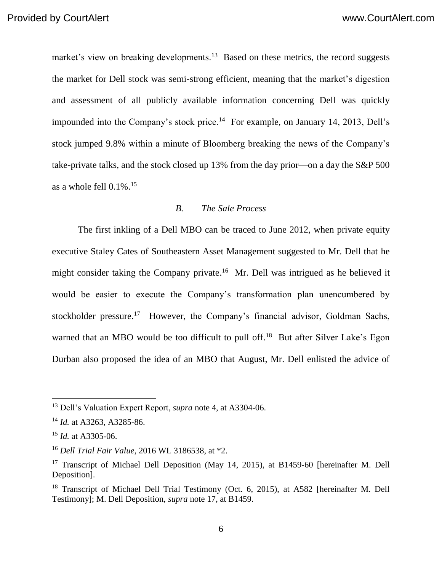market's view on breaking developments.<sup>13</sup> Based on these metrics, the record suggests the market for Dell stock was semi-strong efficient, meaning that the market's digestion and assessment of all publicly available information concerning Dell was quickly impounded into the Company's stock price.<sup>14</sup> For example, on January 14, 2013, Dell's stock jumped 9.8% within a minute of Bloomberg breaking the news of the Company's take-private talks, and the stock closed up 13% from the day prior—on a day the S&P 500 as a whole fell 0.1%. 15

#### *B. The Sale Process*

The first inkling of a Dell MBO can be traced to June 2012, when private equity executive Staley Cates of Southeastern Asset Management suggested to Mr. Dell that he might consider taking the Company private.<sup>16</sup> Mr. Dell was intrigued as he believed it would be easier to execute the Company's transformation plan unencumbered by stockholder pressure.<sup>17</sup> However, the Company's financial advisor, Goldman Sachs, warned that an MBO would be too difficult to pull off.<sup>18</sup> But after Silver Lake's Egon Durban also proposed the idea of an MBO that August, Mr. Dell enlisted the advice of

<sup>13</sup> Dell's Valuation Expert Report, *supra* note 4, at A3304-06.

<sup>14</sup> *Id.* at A3263, A3285-86.

<sup>15</sup> *Id.* at A3305-06.

<sup>16</sup> *Dell Trial Fair Value*, 2016 WL 3186538, at \*2.

<sup>&</sup>lt;sup>17</sup> Transcript of Michael Dell Deposition (May 14, 2015), at B1459-60 [hereinafter M. Dell Deposition].

<sup>&</sup>lt;sup>18</sup> Transcript of Michael Dell Trial Testimony (Oct. 6, 2015), at A582 [hereinafter M. Dell Testimony]; M. Dell Deposition, *supra* note 17, at B1459.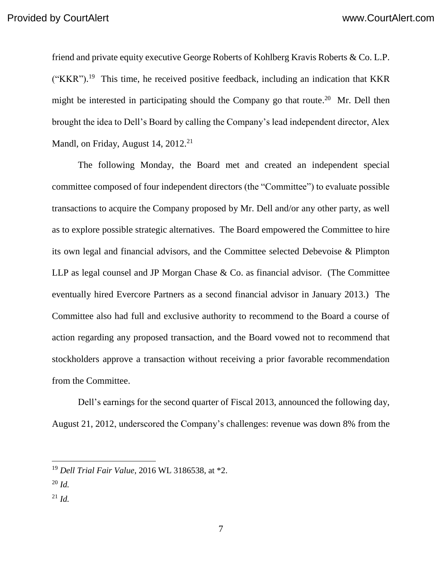friend and private equity executive George Roberts of Kohlberg Kravis Roberts & Co. L.P.  $("KKR")$ .<sup>19</sup> This time, he received positive feedback, including an indication that KKR might be interested in participating should the Company go that route.<sup>20</sup> Mr. Dell then brought the idea to Dell's Board by calling the Company's lead independent director, Alex Mandl, on Friday, August 14, 2012.<sup>21</sup>

The following Monday, the Board met and created an independent special committee composed of four independent directors (the "Committee") to evaluate possible transactions to acquire the Company proposed by Mr. Dell and/or any other party, as well as to explore possible strategic alternatives. The Board empowered the Committee to hire its own legal and financial advisors, and the Committee selected Debevoise & Plimpton LLP as legal counsel and JP Morgan Chase & Co. as financial advisor. (The Committee eventually hired Evercore Partners as a second financial advisor in January 2013.) The Committee also had full and exclusive authority to recommend to the Board a course of action regarding any proposed transaction, and the Board vowed not to recommend that stockholders approve a transaction without receiving a prior favorable recommendation from the Committee.

Dell's earnings for the second quarter of Fiscal 2013, announced the following day, August 21, 2012, underscored the Company's challenges: revenue was down 8% from the

<sup>20</sup> *Id.*

<sup>21</sup> *Id.*

<sup>19</sup> *Dell Trial Fair Value*, 2016 WL 3186538, at \*2.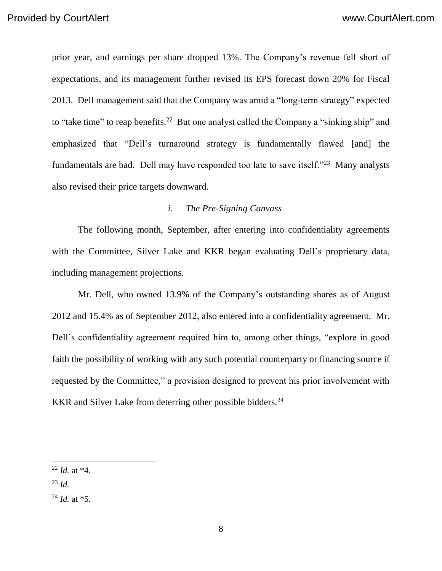prior year, and earnings per share dropped 13%. The Company's revenue fell short of expectations, and its management further revised its EPS forecast down 20% for Fiscal 2013. Dell management said that the Company was amid a "long-term strategy" expected to "take time" to reap benefits.<sup>22</sup> But one analyst called the Company a "sinking ship" and emphasized that "Dell's turnaround strategy is fundamentally flawed [and] the fundamentals are bad. Dell may have responded too late to save itself."<sup>23</sup> Many analysts also revised their price targets downward.

#### *i. The Pre-Signing Canvass*

The following month, September, after entering into confidentiality agreements with the Committee, Silver Lake and KKR began evaluating Dell's proprietary data, including management projections.

Mr. Dell, who owned 13.9% of the Company's outstanding shares as of August 2012 and 15.4% as of September 2012, also entered into a confidentiality agreement. Mr. Dell's confidentiality agreement required him to, among other things, "explore in good faith the possibility of working with any such potential counterparty or financing source if requested by the Committee," a provision designed to prevent his prior involvement with KKR and Silver Lake from deterring other possible bidders.<sup>24</sup>

<sup>23</sup> *Id.*

<sup>22</sup> *Id.* at \*4.

<sup>24</sup> *Id.* at \*5.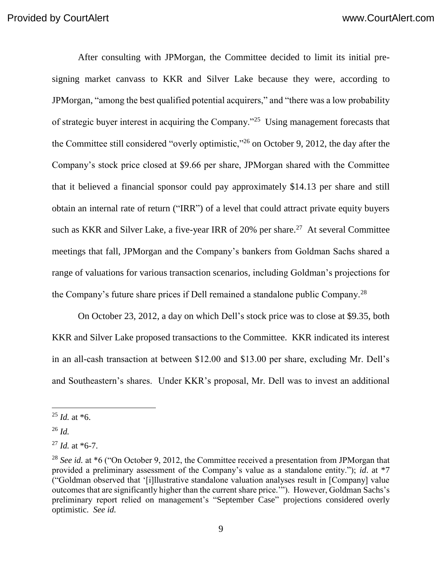After consulting with JPMorgan, the Committee decided to limit its initial presigning market canvass to KKR and Silver Lake because they were, according to JPMorgan, "among the best qualified potential acquirers," and "there was a low probability of strategic buyer interest in acquiring the Company."<sup>25</sup> Using management forecasts that the Committee still considered "overly optimistic,"<sup>26</sup> on October 9, 2012, the day after the Company's stock price closed at \$9.66 per share, JPMorgan shared with the Committee that it believed a financial sponsor could pay approximately \$14.13 per share and still obtain an internal rate of return ("IRR") of a level that could attract private equity buyers such as KKR and Silver Lake, a five-year IRR of  $20\%$  per share.<sup>27</sup> At several Committee meetings that fall, JPMorgan and the Company's bankers from Goldman Sachs shared a range of valuations for various transaction scenarios, including Goldman's projections for the Company's future share prices if Dell remained a standalone public Company.<sup>28</sup>

On October 23, 2012, a day on which Dell's stock price was to close at \$9.35, both KKR and Silver Lake proposed transactions to the Committee. KKR indicated its interest in an all-cash transaction at between \$12.00 and \$13.00 per share, excluding Mr. Dell's and Southeastern's shares. Under KKR's proposal, Mr. Dell was to invest an additional

 $^{25}$  *Id.* at  $*6$ .

<sup>26</sup> *Id.*

<sup>27</sup> *Id.* at \*6-7.

<sup>&</sup>lt;sup>28</sup> *See id.* at \*6 ("On October 9, 2012, the Committee received a presentation from JPMorgan that provided a preliminary assessment of the Company's value as a standalone entity."); *id*. at \*7 ("Goldman observed that '[i]llustrative standalone valuation analyses result in [Company] value outcomes that are significantly higher than the current share price.'"). However, Goldman Sachs's preliminary report relied on management's "September Case" projections considered overly optimistic. *See id.*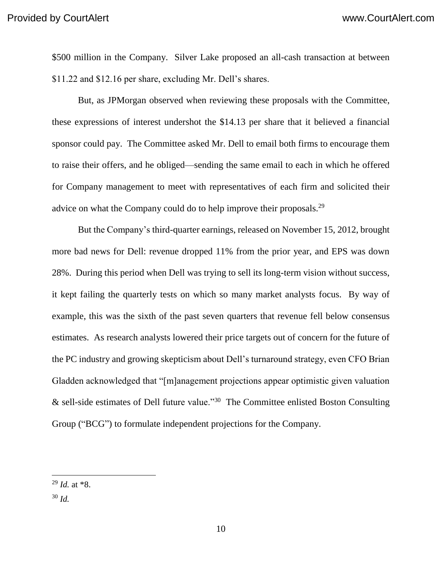\$500 million in the Company. Silver Lake proposed an all-cash transaction at between \$11.22 and \$12.16 per share, excluding Mr. Dell's shares.

But, as JPMorgan observed when reviewing these proposals with the Committee, these expressions of interest undershot the \$14.13 per share that it believed a financial sponsor could pay. The Committee asked Mr. Dell to email both firms to encourage them to raise their offers, and he obliged—sending the same email to each in which he offered for Company management to meet with representatives of each firm and solicited their advice on what the Company could do to help improve their proposals.<sup>29</sup>

But the Company's third-quarter earnings, released on November 15, 2012, brought more bad news for Dell: revenue dropped 11% from the prior year, and EPS was down 28%. During this period when Dell was trying to sell its long-term vision without success, it kept failing the quarterly tests on which so many market analysts focus. By way of example, this was the sixth of the past seven quarters that revenue fell below consensus estimates. As research analysts lowered their price targets out of concern for the future of the PC industry and growing skepticism about Dell's turnaround strategy, even CFO Brian Gladden acknowledged that "[m]anagement projections appear optimistic given valuation & sell-side estimates of Dell future value."<sup>30</sup> The Committee enlisted Boston Consulting Group ("BCG") to formulate independent projections for the Company.

<sup>30</sup> *Id.*

 <sup>29</sup> *Id.* at \*8.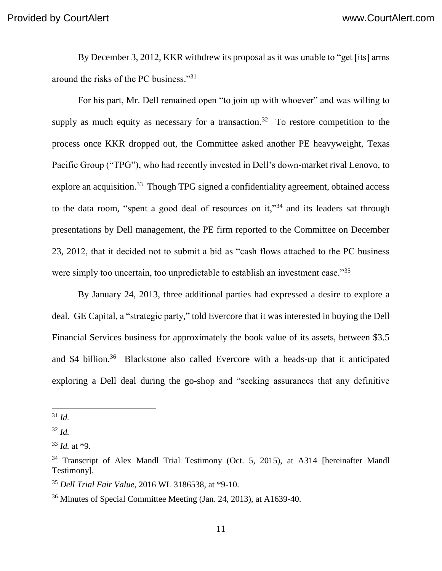By December 3, 2012, KKR withdrew its proposal as it was unable to "get [its] arms around the risks of the PC business."<sup>31</sup>

For his part, Mr. Dell remained open "to join up with whoever" and was willing to supply as much equity as necessary for a transaction.<sup>32</sup> To restore competition to the process once KKR dropped out, the Committee asked another PE heavyweight, Texas Pacific Group ("TPG"), who had recently invested in Dell's down-market rival Lenovo, to explore an acquisition.<sup>33</sup> Though TPG signed a confidentiality agreement, obtained access to the data room, "spent a good deal of resources on it,"<sup>34</sup> and its leaders sat through presentations by Dell management, the PE firm reported to the Committee on December 23, 2012, that it decided not to submit a bid as "cash flows attached to the PC business were simply too uncertain, too unpredictable to establish an investment case."<sup>35</sup>

By January 24, 2013, three additional parties had expressed a desire to explore a deal. GE Capital, a "strategic party," told Evercore that it was interested in buying the Dell Financial Services business for approximately the book value of its assets, between \$3.5 and \$4 billion.<sup>36</sup> Blackstone also called Evercore with a heads-up that it anticipated exploring a Dell deal during the go-shop and "seeking assurances that any definitive

<sup>31</sup> *Id.*

<sup>32</sup> *Id.*

<sup>33</sup> *Id.* at \*9.

<sup>&</sup>lt;sup>34</sup> Transcript of Alex Mandl Trial Testimony (Oct. 5, 2015), at A314 [hereinafter Mandl Testimony].

<sup>35</sup> *Dell Trial Fair Value*, 2016 WL 3186538, at \*9-10.

<sup>36</sup> Minutes of Special Committee Meeting (Jan. 24, 2013), at A1639-40.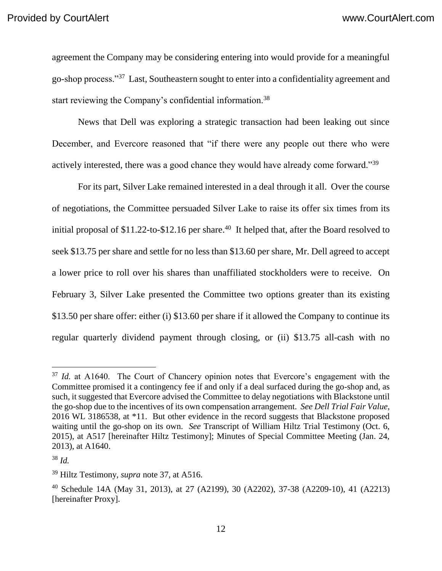agreement the Company may be considering entering into would provide for a meaningful go-shop process."<sup>37</sup> Last, Southeastern sought to enter into a confidentiality agreement and start reviewing the Company's confidential information.<sup>38</sup>

News that Dell was exploring a strategic transaction had been leaking out since December, and Evercore reasoned that "if there were any people out there who were actively interested, there was a good chance they would have already come forward."<sup>39</sup>

For its part, Silver Lake remained interested in a deal through it all. Over the course of negotiations, the Committee persuaded Silver Lake to raise its offer six times from its initial proposal of \$11.22-to-\$12.16 per share.<sup>40</sup> It helped that, after the Board resolved to seek \$13.75 per share and settle for no less than \$13.60 per share, Mr. Dell agreed to accept a lower price to roll over his shares than unaffiliated stockholders were to receive. On February 3, Silver Lake presented the Committee two options greater than its existing \$13.50 per share offer: either (i) \$13.60 per share if it allowed the Company to continue its regular quarterly dividend payment through closing, or (ii) \$13.75 all-cash with no

<sup>&</sup>lt;sup>37</sup> *Id.* at A1640. The Court of Chancery opinion notes that Evercore's engagement with the Committee promised it a contingency fee if and only if a deal surfaced during the go-shop and, as such, it suggested that Evercore advised the Committee to delay negotiations with Blackstone until the go-shop due to the incentives of its own compensation arrangement. *See Dell Trial Fair Value*, 2016 WL 3186538, at \*11. But other evidence in the record suggests that Blackstone proposed waiting until the go-shop on its own. *See* Transcript of William Hiltz Trial Testimony (Oct. 6, 2015), at A517 [hereinafter Hiltz Testimony]; Minutes of Special Committee Meeting (Jan. 24, 2013), at A1640.

<sup>38</sup> *Id.*

<sup>39</sup> Hiltz Testimony, *supra* note 37, at A516.

<sup>40</sup> Schedule 14A (May 31, 2013), at 27 (A2199), 30 (A2202), 37-38 (A2209-10), 41 (A2213) [hereinafter Proxy].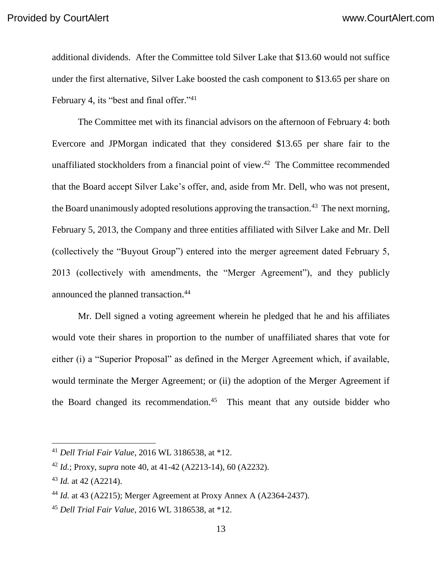additional dividends. After the Committee told Silver Lake that \$13.60 would not suffice under the first alternative, Silver Lake boosted the cash component to \$13.65 per share on February 4, its "best and final offer."<sup>41</sup>

The Committee met with its financial advisors on the afternoon of February 4: both Evercore and JPMorgan indicated that they considered \$13.65 per share fair to the unaffiliated stockholders from a financial point of view.<sup>42</sup> The Committee recommended that the Board accept Silver Lake's offer, and, aside from Mr. Dell, who was not present, the Board unanimously adopted resolutions approving the transaction.<sup>43</sup> The next morning, February 5, 2013, the Company and three entities affiliated with Silver Lake and Mr. Dell (collectively the "Buyout Group") entered into the merger agreement dated February 5, 2013 (collectively with amendments, the "Merger Agreement"), and they publicly announced the planned transaction.<sup>44</sup>

Mr. Dell signed a voting agreement wherein he pledged that he and his affiliates would vote their shares in proportion to the number of unaffiliated shares that vote for either (i) a "Superior Proposal" as defined in the Merger Agreement which, if available, would terminate the Merger Agreement; or (ii) the adoption of the Merger Agreement if the Board changed its recommendation.<sup>45</sup> This meant that any outside bidder who

<sup>41</sup> *Dell Trial Fair Value*, 2016 WL 3186538, at \*12.

<sup>42</sup> *Id.*; Proxy, *supra* note 40, at 41-42 (A2213-14), 60 (A2232).

<sup>43</sup> *Id.* at 42 (A2214).

<sup>44</sup> *Id.* at 43 (A2215); Merger Agreement at Proxy Annex A (A2364-2437).

<sup>45</sup> *Dell Trial Fair Value*, 2016 WL 3186538, at \*12.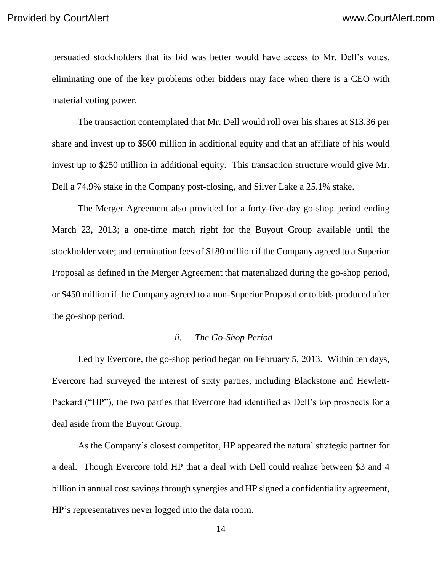persuaded stockholders that its bid was better would have access to Mr. Dell's votes, eliminating one of the key problems other bidders may face when there is a CEO with material voting power.

The transaction contemplated that Mr. Dell would roll over his shares at \$13.36 per share and invest up to \$500 million in additional equity and that an affiliate of his would invest up to \$250 million in additional equity. This transaction structure would give Mr. Dell a 74.9% stake in the Company post-closing, and Silver Lake a 25.1% stake.

The Merger Agreement also provided for a forty-five-day go-shop period ending March 23, 2013; a one-time match right for the Buyout Group available until the stockholder vote; and termination fees of \$180 million if the Company agreed to a Superior Proposal as defined in the Merger Agreement that materialized during the go-shop period, or \$450 million if the Company agreed to a non-Superior Proposal or to bids produced after the go-shop period.

#### *ii. The Go-Shop Period*

Led by Evercore, the go-shop period began on February 5, 2013. Within ten days, Evercore had surveyed the interest of sixty parties, including Blackstone and Hewlett-Packard ("HP"), the two parties that Evercore had identified as Dell's top prospects for a deal aside from the Buyout Group.

As the Company's closest competitor, HP appeared the natural strategic partner for a deal. Though Evercore told HP that a deal with Dell could realize between \$3 and 4 billion in annual cost savings through synergies and HP signed a confidentiality agreement, HP's representatives never logged into the data room.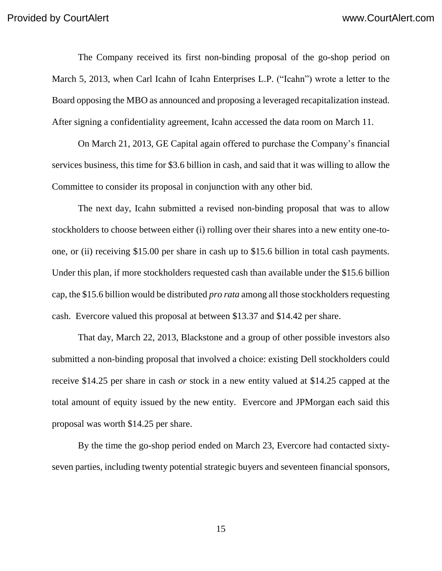The Company received its first non-binding proposal of the go-shop period on March 5, 2013, when Carl Icahn of Icahn Enterprises L.P. ("Icahn") wrote a letter to the Board opposing the MBO as announced and proposing a leveraged recapitalization instead. After signing a confidentiality agreement, Icahn accessed the data room on March 11.

On March 21, 2013, GE Capital again offered to purchase the Company's financial services business, this time for \$3.6 billion in cash, and said that it was willing to allow the Committee to consider its proposal in conjunction with any other bid.

The next day, Icahn submitted a revised non-binding proposal that was to allow stockholders to choose between either (i) rolling over their shares into a new entity one-toone, or (ii) receiving \$15.00 per share in cash up to \$15.6 billion in total cash payments. Under this plan, if more stockholders requested cash than available under the \$15.6 billion cap, the \$15.6 billion would be distributed *pro rata* among all those stockholders requesting cash. Evercore valued this proposal at between \$13.37 and \$14.42 per share.

That day, March 22, 2013, Blackstone and a group of other possible investors also submitted a non-binding proposal that involved a choice: existing Dell stockholders could receive \$14.25 per share in cash *or* stock in a new entity valued at \$14.25 capped at the total amount of equity issued by the new entity. Evercore and JPMorgan each said this proposal was worth \$14.25 per share.

By the time the go-shop period ended on March 23, Evercore had contacted sixtyseven parties, including twenty potential strategic buyers and seventeen financial sponsors,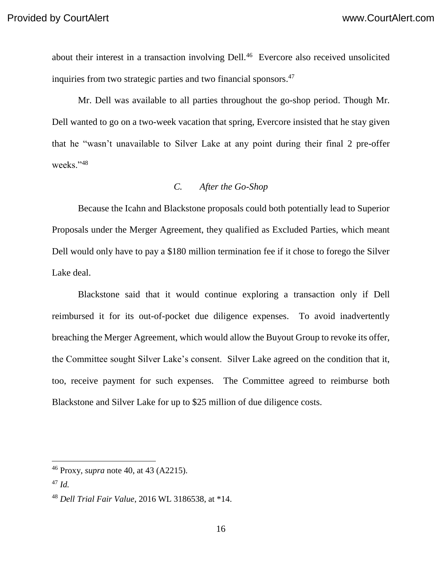about their interest in a transaction involving Dell.<sup>46</sup> Evercore also received unsolicited inquiries from two strategic parties and two financial sponsors. 47

Mr. Dell was available to all parties throughout the go-shop period. Though Mr. Dell wanted to go on a two-week vacation that spring, Evercore insisted that he stay given that he "wasn't unavailable to Silver Lake at any point during their final 2 pre-offer weeks."<sup>48</sup>

# *C. After the Go-Shop*

Because the Icahn and Blackstone proposals could both potentially lead to Superior Proposals under the Merger Agreement, they qualified as Excluded Parties, which meant Dell would only have to pay a \$180 million termination fee if it chose to forego the Silver Lake deal.

Blackstone said that it would continue exploring a transaction only if Dell reimbursed it for its out-of-pocket due diligence expenses. To avoid inadvertently breaching the Merger Agreement, which would allow the Buyout Group to revoke its offer, the Committee sought Silver Lake's consent. Silver Lake agreed on the condition that it, too, receive payment for such expenses. The Committee agreed to reimburse both Blackstone and Silver Lake for up to \$25 million of due diligence costs.

<sup>46</sup> Proxy, *supra* note 40, at 43 (A2215).

<sup>47</sup> *Id.*

<sup>48</sup> *Dell Trial Fair Value*, 2016 WL 3186538, at \*14.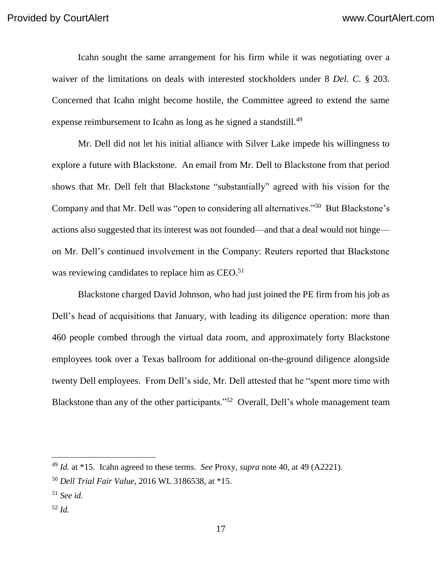Icahn sought the same arrangement for his firm while it was negotiating over a waiver of the limitations on deals with interested stockholders under 8 *Del. C.* § 203. Concerned that Icahn might become hostile, the Committee agreed to extend the same expense reimbursement to Icahn as long as he signed a standstill.<sup>49</sup>

Mr. Dell did not let his initial alliance with Silver Lake impede his willingness to explore a future with Blackstone. An email from Mr. Dell to Blackstone from that period shows that Mr. Dell felt that Blackstone "substantially" agreed with his vision for the Company and that Mr. Dell was "open to considering all alternatives."<sup>50</sup> But Blackstone's actions also suggested that its interest was not founded—and that a deal would not hinge on Mr. Dell's continued involvement in the Company: Reuters reported that Blackstone was reviewing candidates to replace him as CEO.<sup>51</sup>

Blackstone charged David Johnson, who had just joined the PE firm from his job as Dell's head of acquisitions that January, with leading its diligence operation: more than 460 people combed through the virtual data room, and approximately forty Blackstone employees took over a Texas ballroom for additional on-the-ground diligence alongside twenty Dell employees. From Dell's side, Mr. Dell attested that he "spent more time with Blackstone than any of the other participants."<sup>52</sup> Overall, Dell's whole management team

<sup>52</sup> *Id.*

<sup>49</sup> *Id.* at \*15. Icahn agreed to these terms. *See* Proxy, *supra* note 40, at 49 (A2221).

<sup>50</sup> *Dell Trial Fair Value*, 2016 WL 3186538, at \*15.

<sup>51</sup> *See id.*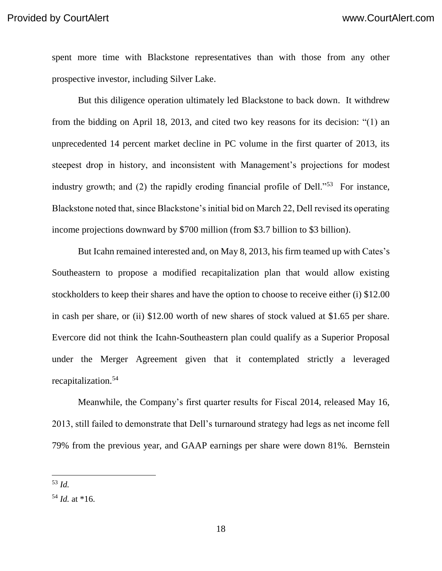spent more time with Blackstone representatives than with those from any other prospective investor, including Silver Lake.

But this diligence operation ultimately led Blackstone to back down.It withdrew from the bidding on April 18, 2013, and cited two key reasons for its decision: "(1) an unprecedented 14 percent market decline in PC volume in the first quarter of 2013, its steepest drop in history, and inconsistent with Management's projections for modest industry growth; and (2) the rapidly eroding financial profile of Dell."<sup>53</sup> For instance, Blackstone noted that, since Blackstone's initial bid on March 22, Dell revised its operating income projections downward by \$700 million (from \$3.7 billion to \$3 billion).

But Icahn remained interested and, on May 8, 2013, his firm teamed up with Cates's Southeastern to propose a modified recapitalization plan that would allow existing stockholders to keep their shares and have the option to choose to receive either (i) \$12.00 in cash per share, or (ii) \$12.00 worth of new shares of stock valued at \$1.65 per share. Evercore did not think the Icahn-Southeastern plan could qualify as a Superior Proposal under the Merger Agreement given that it contemplated strictly a leveraged recapitalization.<sup>54</sup>

Meanwhile, the Company's first quarter results for Fiscal 2014, released May 16, 2013, still failed to demonstrate that Dell's turnaround strategy had legs as net income fell 79% from the previous year, and GAAP earnings per share were down 81%. Bernstein

 <sup>53</sup> *Id.*

<sup>54</sup> *Id.* at \*16.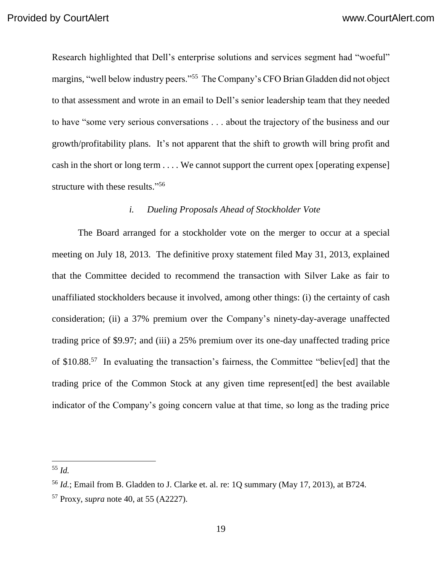Research highlighted that Dell's enterprise solutions and services segment had "woeful" margins, "well below industry peers."<sup>55</sup> The Company's CFO Brian Gladden did not object to that assessment and wrote in an email to Dell's senior leadership team that they needed to have "some very serious conversations . . . about the trajectory of the business and our growth/profitability plans. It's not apparent that the shift to growth will bring profit and cash in the short or long term . . . . We cannot support the current opex [operating expense] structure with these results."<sup>56</sup>

#### *i. Dueling Proposals Ahead of Stockholder Vote*

The Board arranged for a stockholder vote on the merger to occur at a special meeting on July 18, 2013. The definitive proxy statement filed May 31, 2013, explained that the Committee decided to recommend the transaction with Silver Lake as fair to unaffiliated stockholders because it involved, among other things: (i) the certainty of cash consideration; (ii) a 37% premium over the Company's ninety-day-average unaffected trading price of \$9.97; and (iii) a 25% premium over its one-day unaffected trading price of \$10.88.<sup>57</sup> In evaluating the transaction's fairness, the Committee "believ[ed] that the trading price of the Common Stock at any given time represent[ed] the best available indicator of the Company's going concern value at that time, so long as the trading price

<sup>55</sup> *Id.*

<sup>56</sup> *Id.*; Email from B. Gladden to J. Clarke et. al. re: 1Q summary (May 17, 2013), at B724.

<sup>57</sup> Proxy, *supra* note 40, at 55 (A2227).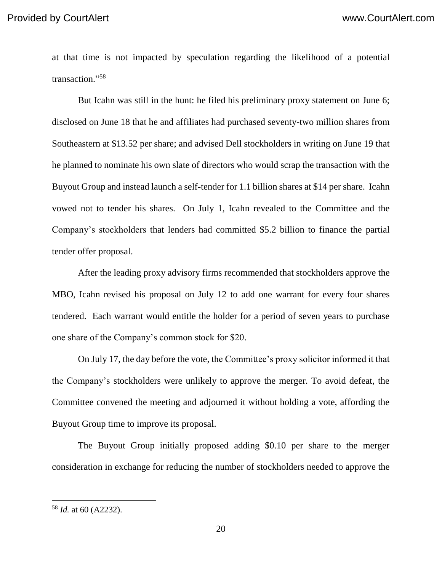at that time is not impacted by speculation regarding the likelihood of a potential transaction." 58

But Icahn was still in the hunt: he filed his preliminary proxy statement on June 6; disclosed on June 18 that he and affiliates had purchased seventy-two million shares from Southeastern at \$13.52 per share; and advised Dell stockholders in writing on June 19 that he planned to nominate his own slate of directors who would scrap the transaction with the Buyout Group and instead launch a self-tender for 1.1 billion shares at \$14 per share. Icahn vowed not to tender his shares. On July 1, Icahn revealed to the Committee and the Company's stockholders that lenders had committed \$5.2 billion to finance the partial tender offer proposal.

After the leading proxy advisory firms recommended that stockholders approve the MBO, Icahn revised his proposal on July 12 to add one warrant for every four shares tendered. Each warrant would entitle the holder for a period of seven years to purchase one share of the Company's common stock for \$20.

On July 17, the day before the vote, the Committee's proxy solicitor informed it that the Company's stockholders were unlikely to approve the merger. To avoid defeat, the Committee convened the meeting and adjourned it without holding a vote, affording the Buyout Group time to improve its proposal.

The Buyout Group initially proposed adding \$0.10 per share to the merger consideration in exchange for reducing the number of stockholders needed to approve the

<sup>58</sup> *Id.* at 60 (A2232).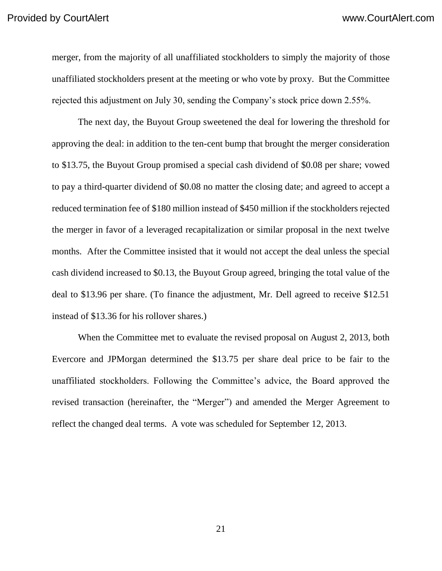merger, from the majority of all unaffiliated stockholders to simply the majority of those unaffiliated stockholders present at the meeting or who vote by proxy. But the Committee rejected this adjustment on July 30, sending the Company's stock price down 2.55%.

The next day, the Buyout Group sweetened the deal for lowering the threshold for approving the deal: in addition to the ten-cent bump that brought the merger consideration to \$13.75, the Buyout Group promised a special cash dividend of \$0.08 per share; vowed to pay a third-quarter dividend of \$0.08 no matter the closing date; and agreed to accept a reduced termination fee of \$180 million instead of \$450 million if the stockholders rejected the merger in favor of a leveraged recapitalization or similar proposal in the next twelve months. After the Committee insisted that it would not accept the deal unless the special cash dividend increased to \$0.13, the Buyout Group agreed, bringing the total value of the deal to \$13.96 per share. (To finance the adjustment, Mr. Dell agreed to receive \$12.51 instead of \$13.36 for his rollover shares.)

When the Committee met to evaluate the revised proposal on August 2, 2013, both Evercore and JPMorgan determined the \$13.75 per share deal price to be fair to the unaffiliated stockholders. Following the Committee's advice, the Board approved the revised transaction (hereinafter, the "Merger") and amended the Merger Agreement to reflect the changed deal terms. A vote was scheduled for September 12, 2013.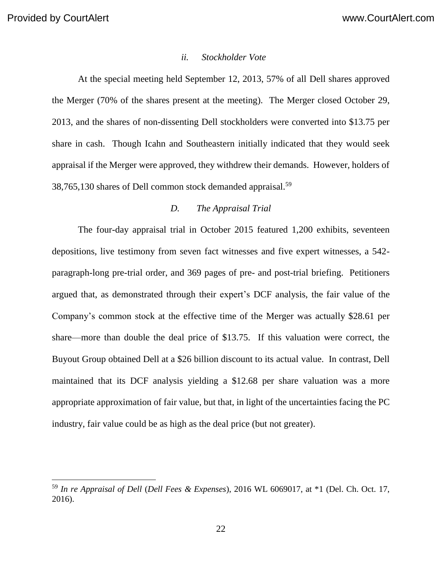#### *ii. Stockholder Vote*

At the special meeting held September 12, 2013, 57% of all Dell shares approved the Merger (70% of the shares present at the meeting). The Merger closed October 29, 2013, and the shares of non-dissenting Dell stockholders were converted into \$13.75 per share in cash. Though Icahn and Southeastern initially indicated that they would seek appraisal if the Merger were approved, they withdrew their demands. However, holders of 38,765,130 shares of Dell common stock demanded appraisal.<sup>59</sup>

### *D. The Appraisal Trial*

The four-day appraisal trial in October 2015 featured 1,200 exhibits, seventeen depositions, live testimony from seven fact witnesses and five expert witnesses, a 542 paragraph-long pre-trial order, and 369 pages of pre- and post-trial briefing. Petitioners argued that, as demonstrated through their expert's DCF analysis, the fair value of the Company's common stock at the effective time of the Merger was actually \$28.61 per share—more than double the deal price of \$13.75. If this valuation were correct, the Buyout Group obtained Dell at a \$26 billion discount to its actual value. In contrast, Dell maintained that its DCF analysis yielding a \$12.68 per share valuation was a more appropriate approximation of fair value, but that, in light of the uncertainties facing the PC industry, fair value could be as high as the deal price (but not greater).

<sup>59</sup> *In re Appraisal of Dell* (*Dell Fees & Expenses*), 2016 WL 6069017, at \*1 (Del. Ch. Oct. 17, 2016).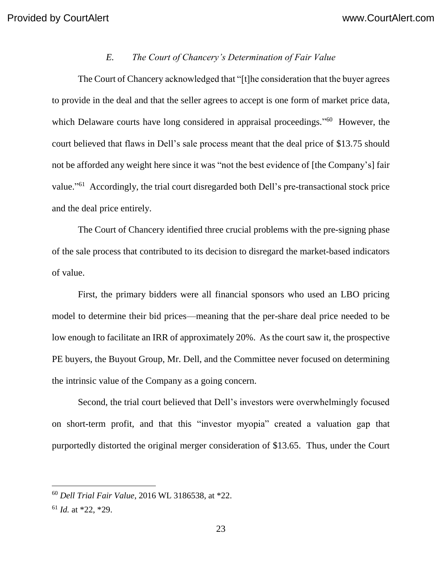#### *E. The Court of Chancery's Determination of Fair Value*

The Court of Chancery acknowledged that "[t]he consideration that the buyer agrees to provide in the deal and that the seller agrees to accept is one form of market price data, which Delaware courts have long considered in appraisal proceedings."<sup>60</sup> However, the court believed that flaws in Dell's sale process meant that the deal price of \$13.75 should not be afforded any weight here since it was "not the best evidence of [the Company's] fair value."<sup>61</sup> Accordingly, the trial court disregarded both Dell's pre-transactional stock price and the deal price entirely.

The Court of Chancery identified three crucial problems with the pre-signing phase of the sale process that contributed to its decision to disregard the market-based indicators of value.

First, the primary bidders were all financial sponsors who used an LBO pricing model to determine their bid prices—meaning that the per-share deal price needed to be low enough to facilitate an IRR of approximately 20%. As the court saw it, the prospective PE buyers, the Buyout Group, Mr. Dell, and the Committee never focused on determining the intrinsic value of the Company as a going concern.

Second, the trial court believed that Dell's investors were overwhelmingly focused on short-term profit, and that this "investor myopia" created a valuation gap that purportedly distorted the original merger consideration of \$13.65. Thus, under the Court

<sup>60</sup> *Dell Trial Fair Value*, 2016 WL 3186538, at \*22.

<sup>61</sup> *Id.* at \*22, \*29.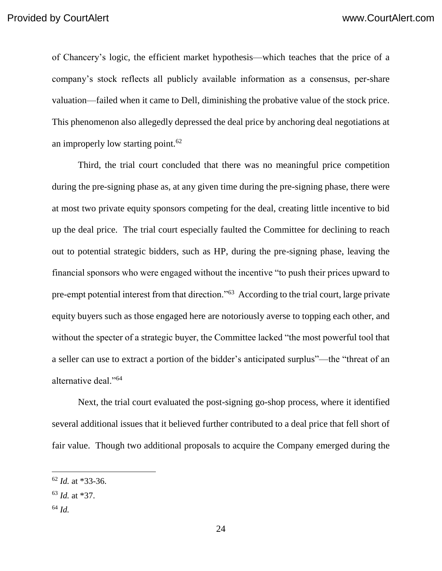of Chancery's logic, the efficient market hypothesis—which teaches that the price of a company's stock reflects all publicly available information as a consensus, per-share valuation—failed when it came to Dell, diminishing the probative value of the stock price. This phenomenon also allegedly depressed the deal price by anchoring deal negotiations at an improperly low starting point.<sup>62</sup>

Third, the trial court concluded that there was no meaningful price competition during the pre-signing phase as, at any given time during the pre-signing phase, there were at most two private equity sponsors competing for the deal, creating little incentive to bid up the deal price. The trial court especially faulted the Committee for declining to reach out to potential strategic bidders, such as HP, during the pre-signing phase, leaving the financial sponsors who were engaged without the incentive "to push their prices upward to pre-empt potential interest from that direction."<sup>63</sup> According to the trial court, large private equity buyers such as those engaged here are notoriously averse to topping each other, and without the specter of a strategic buyer, the Committee lacked "the most powerful tool that a seller can use to extract a portion of the bidder's anticipated surplus"—the "threat of an alternative deal."<sup>64</sup>

Next, the trial court evaluated the post-signing go-shop process, where it identified several additional issues that it believed further contributed to a deal price that fell short of fair value. Though two additional proposals to acquire the Company emerged during the

<sup>62</sup> *Id.* at \*33-36.

<sup>63</sup> *Id.* at \*37.

<sup>64</sup> *Id.*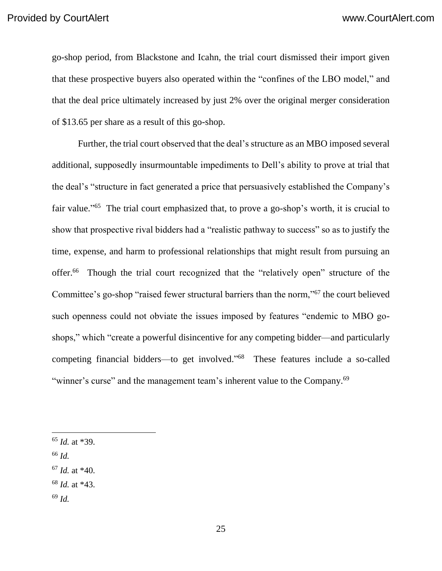go-shop period, from Blackstone and Icahn, the trial court dismissed their import given that these prospective buyers also operated within the "confines of the LBO model," and that the deal price ultimately increased by just 2% over the original merger consideration of \$13.65 per share as a result of this go-shop.

Further, the trial court observed that the deal's structure as an MBO imposed several additional, supposedly insurmountable impediments to Dell's ability to prove at trial that the deal's "structure in fact generated a price that persuasively established the Company's fair value."<sup>65</sup> The trial court emphasized that, to prove a go-shop's worth, it is crucial to show that prospective rival bidders had a "realistic pathway to success" so as to justify the time, expense, and harm to professional relationships that might result from pursuing an offer.<sup>66</sup> Though the trial court recognized that the "relatively open" structure of the Committee's go-shop "raised fewer structural barriers than the norm,"<sup>67</sup> the court believed such openness could not obviate the issues imposed by features "endemic to MBO goshops," which "create a powerful disincentive for any competing bidder—and particularly competing financial bidders—to get involved." <sup>68</sup> These features include a so-called "winner's curse" and the management team's inherent value to the Company.<sup>69</sup>

<sup>66</sup> *Id.*

- <sup>68</sup> *Id.* at \*43.
- <sup>69</sup> *Id.*

<sup>65</sup> *Id.* at \*39.

<sup>67</sup> *Id.* at \*40.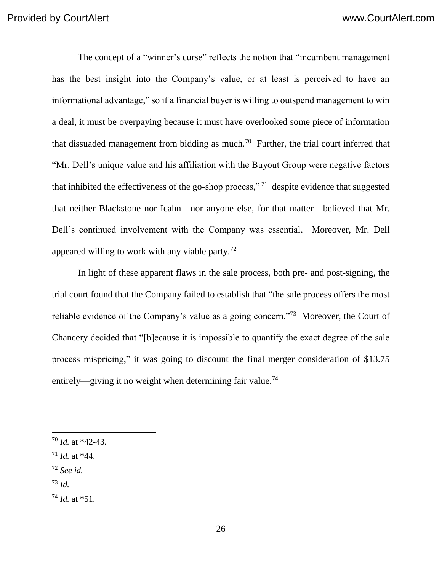The concept of a "winner's curse" reflects the notion that "incumbent management has the best insight into the Company's value, or at least is perceived to have an informational advantage," so if a financial buyer is willing to outspend management to win a deal, it must be overpaying because it must have overlooked some piece of information that dissuaded management from bidding as much.<sup>70</sup> Further, the trial court inferred that "Mr. Dell's unique value and his affiliation with the Buyout Group were negative factors that inhibited the effectiveness of the go-shop process,"<sup>71</sup> despite evidence that suggested that neither Blackstone nor Icahn—nor anyone else, for that matter—believed that Mr. Dell's continued involvement with the Company was essential. Moreover, Mr. Dell appeared willing to work with any viable party.<sup>72</sup>

In light of these apparent flaws in the sale process, both pre- and post-signing, the trial court found that the Company failed to establish that "the sale process offers the most reliable evidence of the Company's value as a going concern."<sup>73</sup> Moreover, the Court of Chancery decided that "[b]ecause it is impossible to quantify the exact degree of the sale process mispricing," it was going to discount the final merger consideration of \$13.75 entirely—giving it no weight when determining fair value.<sup>74</sup>

- <sup>72</sup> *See id.*
- <sup>73</sup> *Id.*

 $\overline{a}$ 

<sup>74</sup> *Id.* at \*51.

<sup>70</sup> *Id.* at \*42-43.

<sup>71</sup> *Id.* at \*44.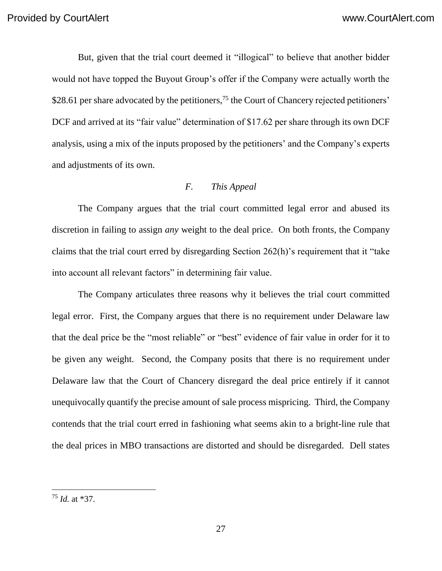But, given that the trial court deemed it "illogical" to believe that another bidder would not have topped the Buyout Group's offer if the Company were actually worth the \$28.61 per share advocated by the petitioners,<sup>75</sup> the Court of Chancery rejected petitioners' DCF and arrived at its "fair value" determination of \$17.62 per share through its own DCF analysis, using a mix of the inputs proposed by the petitioners' and the Company's experts and adjustments of its own.

## *F. This Appeal*

The Company argues that the trial court committed legal error and abused its discretion in failing to assign *any* weight to the deal price. On both fronts, the Company claims that the trial court erred by disregarding Section 262(h)'s requirement that it "take into account all relevant factors" in determining fair value.

The Company articulates three reasons why it believes the trial court committed legal error. First, the Company argues that there is no requirement under Delaware law that the deal price be the "most reliable" or "best" evidence of fair value in order for it to be given any weight. Second, the Company posits that there is no requirement under Delaware law that the Court of Chancery disregard the deal price entirely if it cannot unequivocally quantify the precise amount of sale process mispricing. Third, the Company contends that the trial court erred in fashioning what seems akin to a bright-line rule that the deal prices in MBO transactions are distorted and should be disregarded. Dell states

<sup>75</sup> *Id.* at \*37.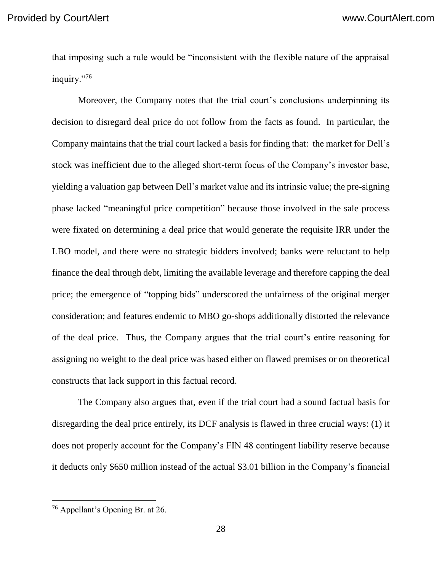that imposing such a rule would be "inconsistent with the flexible nature of the appraisal inquiry."<sup>76</sup>

Moreover, the Company notes that the trial court's conclusions underpinning its decision to disregard deal price do not follow from the facts as found. In particular, the Company maintains that the trial court lacked a basis for finding that: the market for Dell's stock was inefficient due to the alleged short-term focus of the Company's investor base, yielding a valuation gap between Dell's market value and its intrinsic value; the pre-signing phase lacked "meaningful price competition" because those involved in the sale process were fixated on determining a deal price that would generate the requisite IRR under the LBO model, and there were no strategic bidders involved; banks were reluctant to help finance the deal through debt, limiting the available leverage and therefore capping the deal price; the emergence of "topping bids" underscored the unfairness of the original merger consideration; and features endemic to MBO go-shops additionally distorted the relevance of the deal price. Thus, the Company argues that the trial court's entire reasoning for assigning no weight to the deal price was based either on flawed premises or on theoretical constructs that lack support in this factual record.

The Company also argues that, even if the trial court had a sound factual basis for disregarding the deal price entirely, its DCF analysis is flawed in three crucial ways: (1) it does not properly account for the Company's FIN 48 contingent liability reserve because it deducts only \$650 million instead of the actual \$3.01 billion in the Company's financial

<sup>&</sup>lt;sup>76</sup> Appellant's Opening Br. at 26.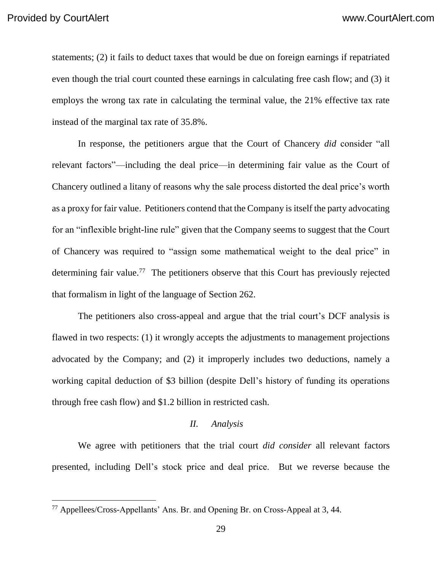$\overline{a}$ 

statements; (2) it fails to deduct taxes that would be due on foreign earnings if repatriated even though the trial court counted these earnings in calculating free cash flow; and (3) it employs the wrong tax rate in calculating the terminal value, the 21% effective tax rate instead of the marginal tax rate of 35.8%.

In response, the petitioners argue that the Court of Chancery *did* consider "all relevant factors"—including the deal price—in determining fair value as the Court of Chancery outlined a litany of reasons why the sale process distorted the deal price's worth as a proxy for fair value. Petitioners contend that the Company is itself the party advocating for an "inflexible bright-line rule" given that the Company seems to suggest that the Court of Chancery was required to "assign some mathematical weight to the deal price" in determining fair value.<sup>77</sup> The petitioners observe that this Court has previously rejected that formalism in light of the language of Section 262.

The petitioners also cross-appeal and argue that the trial court's DCF analysis is flawed in two respects: (1) it wrongly accepts the adjustments to management projections advocated by the Company; and (2) it improperly includes two deductions, namely a working capital deduction of \$3 billion (despite Dell's history of funding its operations through free cash flow) and \$1.2 billion in restricted cash.

#### *II. Analysis*

We agree with petitioners that the trial court *did consider* all relevant factors presented, including Dell's stock price and deal price. But we reverse because the

 $77$  Appellees/Cross-Appellants' Ans. Br. and Opening Br. on Cross-Appeal at 3, 44.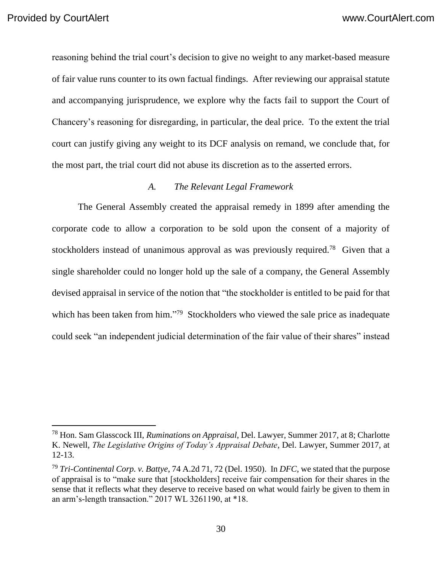reasoning behind the trial court's decision to give no weight to any market-based measure of fair value runs counter to its own factual findings.After reviewing our appraisal statute and accompanying jurisprudence, we explore why the facts fail to support the Court of Chancery's reasoning for disregarding, in particular, the deal price. To the extent the trial court can justify giving any weight to its DCF analysis on remand, we conclude that, for the most part, the trial court did not abuse its discretion as to the asserted errors.

## *A. The Relevant Legal Framework*

The General Assembly created the appraisal remedy in 1899 after amending the corporate code to allow a corporation to be sold upon the consent of a majority of stockholders instead of unanimous approval as was previously required.<sup>78</sup> Given that a single shareholder could no longer hold up the sale of a company, the General Assembly devised appraisal in service of the notion that "the stockholder is entitled to be paid for that which has been taken from him."<sup>79</sup> Stockholders who viewed the sale price as inadequate could seek "an independent judicial determination of the fair value of their shares" instead

<sup>78</sup> Hon. Sam Glasscock III, *Ruminations on Appraisal*, Del. Lawyer, Summer 2017, at 8; Charlotte K. Newell, *The Legislative Origins of Today's Appraisal Debate*, Del. Lawyer, Summer 2017, at 12-13.

<sup>79</sup> *Tri-Continental Corp. v. Battye*, 74 A.2d 71, 72 (Del. 1950). In *DFC*, we stated that the purpose of appraisal is to "make sure that [stockholders] receive fair compensation for their shares in the sense that it reflects what they deserve to receive based on what would fairly be given to them in an arm's-length transaction." 2017 WL 3261190, at \*18.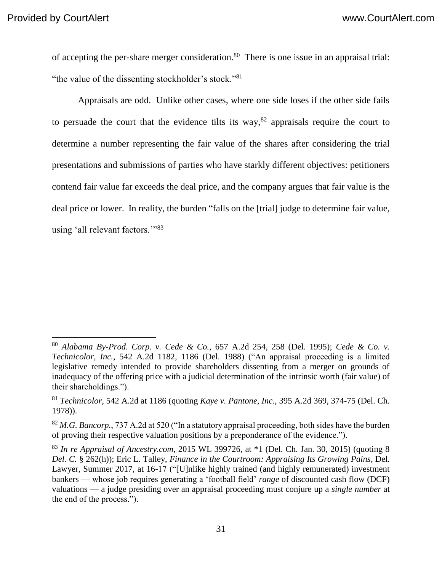$\overline{a}$ 

of accepting the per-share merger consideration.<sup>80</sup> There is one issue in an appraisal trial: "the value of the dissenting stockholder's stock."<sup>81</sup>

Appraisals are odd. Unlike other cases, where one side loses if the other side fails to persuade the court that the evidence tilts its way,<sup>82</sup> appraisals require the court to determine a number representing the fair value of the shares after considering the trial presentations and submissions of parties who have starkly different objectives: petitioners contend fair value far exceeds the deal price, and the company argues that fair value is the deal price or lower. In reality, the burden "falls on the [trial] judge to determine fair value, using 'all relevant factors.'"<sup>83</sup>

<sup>80</sup> *Alabama By-Prod. Corp. v. Cede & Co.*, 657 A.2d 254, 258 (Del. 1995); *Cede & Co. v. Technicolor, Inc.*, 542 A.2d 1182, 1186 (Del. 1988) ("An appraisal proceeding is a limited legislative remedy intended to provide shareholders dissenting from a merger on grounds of inadequacy of the offering price with a judicial determination of the intrinsic worth (fair value) of their shareholdings.").

<sup>81</sup> *Technicolor*, 542 A.2d at 1186 (quoting *Kaye v. Pantone, Inc.*, 395 A.2d 369, 374-75 (Del. Ch. 1978)).

<sup>82</sup> *M.G. Bancorp.*, 737 A.2d at 520 ("In a statutory appraisal proceeding, both sides have the burden of proving their respective valuation positions by a preponderance of the evidence.").

<sup>83</sup> *In re Appraisal of Ancestry.com*, 2015 WL 399726, at \*1 (Del. Ch. Jan. 30, 2015) (quoting 8 *Del. C.* § 262(h)); Eric L. Talley, *Finance in the Courtroom: Appraising Its Growing Pains*, Del. Lawyer, Summer 2017, at 16-17 ("[U]nlike highly trained (and highly remunerated) investment bankers — whose job requires generating a 'football field' *range* of discounted cash flow (DCF) valuations — a judge presiding over an appraisal proceeding must conjure up a *single number* at the end of the process.").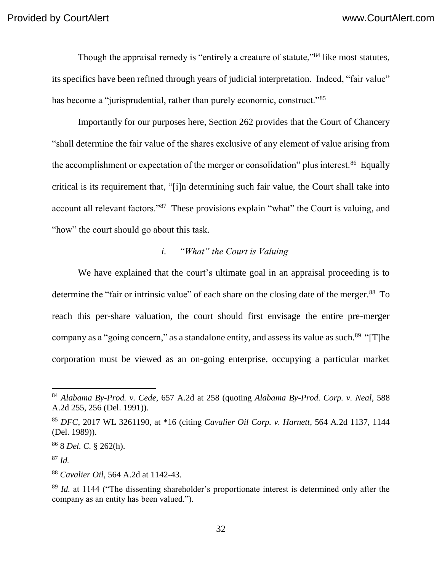Though the appraisal remedy is "entirely a creature of statute,"<sup>84</sup> like most statutes, its specifics have been refined through years of judicial interpretation. Indeed, "fair value" has become a "jurisprudential, rather than purely economic, construct."<sup>85</sup>

Importantly for our purposes here, Section 262 provides that the Court of Chancery "shall determine the fair value of the shares exclusive of any element of value arising from the accomplishment or expectation of the merger or consolidation" plus interest.<sup>86</sup> Equally critical is its requirement that, "[i]n determining such fair value, the Court shall take into account all relevant factors."<sup>87</sup> These provisions explain "what" the Court is valuing, and "how" the court should go about this task.

# *i. "What" the Court is Valuing*

We have explained that the court's ultimate goal in an appraisal proceeding is to determine the "fair or intrinsic value" of each share on the closing date of the merger.<sup>88</sup> To reach this per-share valuation, the court should first envisage the entire pre-merger company as a "going concern," as a standalone entity, and assess its value as such.<sup>89</sup> "[T]he corporation must be viewed as an on-going enterprise, occupying a particular market

<sup>86</sup> 8 *Del. C.* § 262(h).

<sup>87</sup> *Id.*

<sup>84</sup> *Alabama By-Prod. v. Cede*, 657 A.2d at 258 (quoting *Alabama By-Prod. Corp. v. Neal*, 588 A.2d 255, 256 (Del. 1991)).

<sup>85</sup> *DFC*, 2017 WL 3261190, at \*16 (citing *Cavalier Oil Corp. v. Harnett*, 564 A.2d 1137, 1144 (Del. 1989)).

<sup>88</sup> *Cavalier Oil*, 564 A.2d at 1142-43.

<sup>&</sup>lt;sup>89</sup> *Id.* at 1144 ("The dissenting shareholder's proportionate interest is determined only after the company as an entity has been valued.").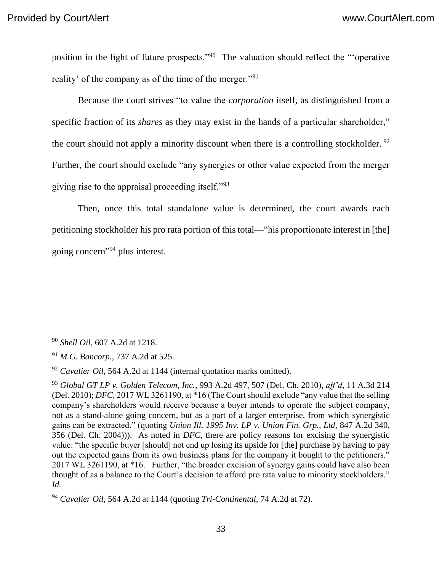position in the light of future prospects."<sup>90</sup> The valuation should reflect the "operative reality' of the company as of the time of the merger."<sup>91</sup>

Because the court strives "to value the *corporation* itself, as distinguished from a specific fraction of its *shares* as they may exist in the hands of a particular shareholder," the court should not apply a minority discount when there is a controlling stockholder.  $92$ Further, the court should exclude "any synergies or other value expected from the merger giving rise to the appraisal proceeding itself."<sup>93</sup>

Then, once this total standalone value is determined, the court awards each petitioning stockholder his pro rata portion of this total—"his proportionate interest in [the] going concern" <sup>94</sup> plus interest.

<sup>90</sup> *Shell Oil*, 607 A.2d at 1218.

<sup>91</sup> *M.G. Bancorp.*, 737 A.2d at 525.

<sup>92</sup> *Cavalier Oil*, 564 A.2d at 1144 (internal quotation marks omitted).

<sup>93</sup> *Global GT LP v. Golden Telecom, Inc.*, 993 A.2d 497, 507 (Del. Ch. 2010), *aff'd*, 11 A.3d 214 (Del. 2010); *DFC*, 2017 WL 3261190, at \*16 (The Court should exclude "any value that the selling company's shareholders would receive because a buyer intends to operate the subject company, not as a stand-alone going concern, but as a part of a larger enterprise, from which synergistic gains can be extracted." (quoting *Union Ill. 1995 Inv. LP v. Union Fin. Grp., Ltd*, 847 A.2d 340, 356 (Del. Ch. 2004))). As noted in *DFC*, there are policy reasons for excising the synergistic value: "the specific buyer [should] not end up losing its upside for [the] purchase by having to pay out the expected gains from its own business plans for the company it bought to the petitioners." 2017 WL 3261190, at \*16. Further, "the broader excision of synergy gains could have also been thought of as a balance to the Court's decision to afford pro rata value to minority stockholders." *Id.*

<sup>94</sup> *Cavalier Oil*, 564 A.2d at 1144 (quoting *Tri-Continental*, 74 A.2d at 72).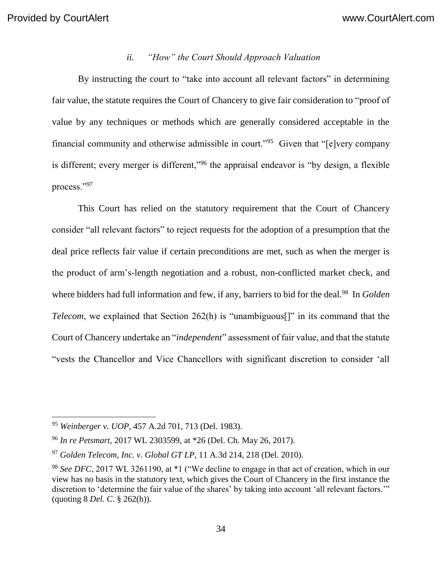## *ii. "How" the Court Should Approach Valuation*

By instructing the court to "take into account all relevant factors" in determining fair value, the statute requires the Court of Chancery to give fair consideration to "proof of value by any techniques or methods which are generally considered acceptable in the financial community and otherwise admissible in court."<sup>95</sup> Given that "[e]very company is different; every merger is different,"<sup>96</sup> the appraisal endeavor is "by design, a flexible process."<sup>97</sup>

This Court has relied on the statutory requirement that the Court of Chancery consider "all relevant factors" to reject requests for the adoption of a presumption that the deal price reflects fair value if certain preconditions are met, such as when the merger is the product of arm's-length negotiation and a robust, non-conflicted market check, and where bidders had full information and few, if any, barriers to bid for the deal.<sup>98</sup> In *Golden Telecom*, we explained that Section 262(h) is "unambiguous<sup>[]"</sup> in its command that the Court of Chancery undertake an "*independent*" assessment of fair value, and that the statute "vests the Chancellor and Vice Chancellors with significant discretion to consider 'all

<sup>95</sup> *Weinberger v. UOP*, 457 A.2d 701, 713 (Del. 1983).

<sup>96</sup> *In re Petsmart*, 2017 WL 2303599, at \*26 (Del. Ch. May 26, 2017).

<sup>97</sup> *Golden Telecom, Inc. v. Global GT LP*, 11 A.3d 214, 218 (Del. 2010).

<sup>98</sup> *See DFC*, 2017 WL 3261190, at \*1 ("We decline to engage in that act of creation, which in our view has no basis in the statutory text, which gives the Court of Chancery in the first instance the discretion to 'determine the fair value of the shares' by taking into account 'all relevant factors.'" (quoting 8 *Del. C*. § 262(h)).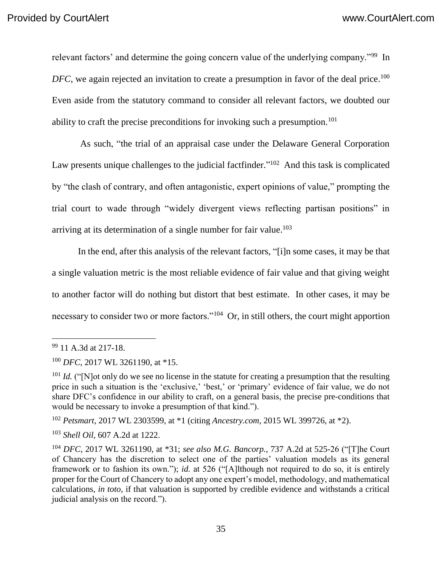relevant factors' and determine the going concern value of the underlying company."<sup>99</sup> In DFC, we again rejected an invitation to create a presumption in favor of the deal price.<sup>100</sup> Even aside from the statutory command to consider all relevant factors, we doubted our ability to craft the precise preconditions for invoking such a presumption.<sup>101</sup>

As such, "the trial of an appraisal case under the Delaware General Corporation Law presents unique challenges to the judicial factfinder."<sup>102</sup> And this task is complicated by "the clash of contrary, and often antagonistic, expert opinions of value," prompting the trial court to wade through "widely divergent views reflecting partisan positions" in arriving at its determination of a single number for fair value. 103

In the end, after this analysis of the relevant factors, "[i]n some cases, it may be that a single valuation metric is the most reliable evidence of fair value and that giving weight to another factor will do nothing but distort that best estimate. In other cases, it may be necessary to consider two or more factors."<sup>104</sup> Or, in still others, the court might apportion

<sup>99</sup> 11 A.3d at 217-18.

<sup>100</sup> *DFC*, 2017 WL 3261190, at \*15.

<sup>&</sup>lt;sup>101</sup> *Id.* ("[N]ot only do we see no license in the statute for creating a presumption that the resulting price in such a situation is the 'exclusive,' 'best,' or 'primary' evidence of fair value, we do not share DFC's confidence in our ability to craft, on a general basis, the precise pre-conditions that would be necessary to invoke a presumption of that kind.").

<sup>102</sup> *Petsmart*, 2017 WL 2303599, at \*1 (citing *Ancestry.com*, 2015 WL 399726, at \*2).

<sup>103</sup> *Shell Oil*, 607 A.2d at 1222.

<sup>104</sup> *DFC*, 2017 WL 3261190, at \*31; *see also M.G. Bancorp.*, 737 A.2d at 525-26 ("[T]he Court of Chancery has the discretion to select one of the parties' valuation models as its general framework or to fashion its own."); *id.* at 526 ("[A]lthough not required to do so, it is entirely proper for the Court of Chancery to adopt any one expert's model, methodology, and mathematical calculations, *in toto*, if that valuation is supported by credible evidence and withstands a critical judicial analysis on the record.").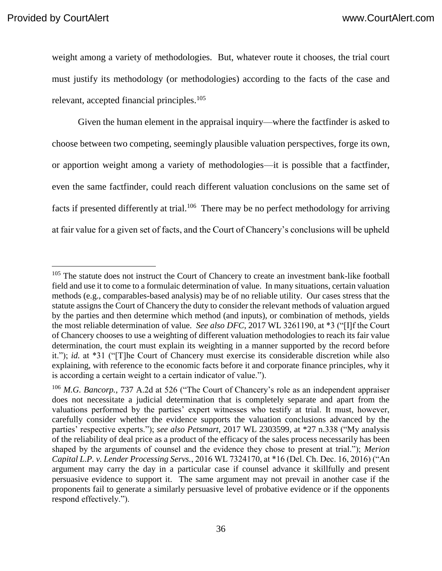weight among a variety of methodologies. But, whatever route it chooses, the trial court must justify its methodology (or methodologies) according to the facts of the case and relevant, accepted financial principles.<sup>105</sup>

Given the human element in the appraisal inquiry—where the factfinder is asked to choose between two competing, seemingly plausible valuation perspectives, forge its own, or apportion weight among a variety of methodologies—it is possible that a factfinder, even the same factfinder, could reach different valuation conclusions on the same set of facts if presented differently at trial.<sup>106</sup> There may be no perfect methodology for arriving at fair value for a given set of facts, and the Court of Chancery's conclusions will be upheld

<sup>&</sup>lt;sup>105</sup> The statute does not instruct the Court of Chancery to create an investment bank-like football field and use it to come to a formulaic determination of value. In many situations, certain valuation methods (e.g., comparables-based analysis) may be of no reliable utility. Our cases stress that the statute assigns the Court of Chancery the duty to consider the relevant methods of valuation argued by the parties and then determine which method (and inputs), or combination of methods, yields the most reliable determination of value. *See also DFC*, 2017 WL 3261190, at \*3 ("[I]f the Court of Chancery chooses to use a weighting of different valuation methodologies to reach its fair value determination, the court must explain its weighting in a manner supported by the record before it."); *id.* at \*31 ("[T]he Court of Chancery must exercise its considerable discretion while also explaining, with reference to the economic facts before it and corporate finance principles, why it is according a certain weight to a certain indicator of value.").

<sup>106</sup> *M.G. Bancorp.*, 737 A.2d at 526 ("The Court of Chancery's role as an independent appraiser does not necessitate a judicial determination that is completely separate and apart from the valuations performed by the parties' expert witnesses who testify at trial. It must, however, carefully consider whether the evidence supports the valuation conclusions advanced by the parties' respective experts."); *see also Petsmart*, 2017 WL 2303599, at \*27 n.338 ("My analysis of the reliability of deal price as a product of the efficacy of the sales process necessarily has been shaped by the arguments of counsel and the evidence they chose to present at trial."); *Merion Capital L.P. v. Lender Processing Servs.*, 2016 WL 7324170, at \*16 (Del. Ch. Dec. 16, 2016) ("An argument may carry the day in a particular case if counsel advance it skillfully and present persuasive evidence to support it. The same argument may not prevail in another case if the proponents fail to generate a similarly persuasive level of probative evidence or if the opponents respond effectively.").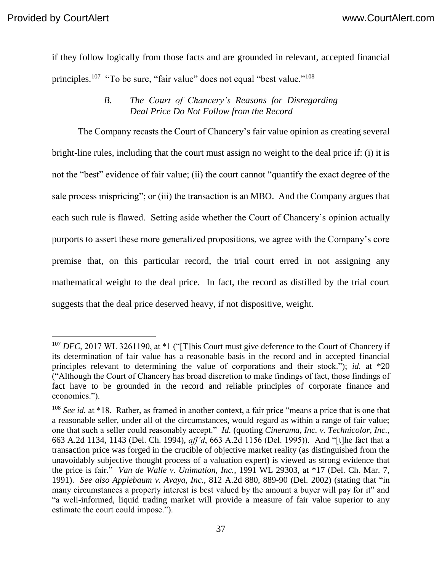if they follow logically from those facts and are grounded in relevant, accepted financial principles.<sup>107</sup> "To be sure, "fair value" does not equal "best value."<sup>108</sup>

### *B. The Court of Chancery's Reasons for Disregarding Deal Price Do Not Follow from the Record*

The Company recasts the Court of Chancery's fair value opinion as creating several bright-line rules, including that the court must assign no weight to the deal price if: (i) it is not the "best" evidence of fair value; (ii) the court cannot "quantify the exact degree of the sale process mispricing"; or (iii) the transaction is an MBO. And the Company argues that each such rule is flawed. Setting aside whether the Court of Chancery's opinion actually purports to assert these more generalized propositions, we agree with the Company's core premise that, on this particular record, the trial court erred in not assigning any mathematical weight to the deal price. In fact, the record as distilled by the trial court suggests that the deal price deserved heavy, if not dispositive, weight.

<sup>&</sup>lt;sup>107</sup> *DFC*, 2017 WL 3261190, at \*1 ("[T]his Court must give deference to the Court of Chancery if its determination of fair value has a reasonable basis in the record and in accepted financial principles relevant to determining the value of corporations and their stock."); *id.* at \*20 ("Although the Court of Chancery has broad discretion to make findings of fact, those findings of fact have to be grounded in the record and reliable principles of corporate finance and economics.").

<sup>108</sup> *See id.* at \*18. Rather, as framed in another context, a fair price "means a price that is one that a reasonable seller, under all of the circumstances, would regard as within a range of fair value; one that such a seller could reasonably accept." *Id.* (quoting *Cinerama, Inc. v. Technicolor, Inc.*, 663 A.2d 1134, 1143 (Del. Ch. 1994), *aff'd*, 663 A.2d 1156 (Del. 1995)). And "[t]he fact that a transaction price was forged in the crucible of objective market reality (as distinguished from the unavoidably subjective thought process of a valuation expert) is viewed as strong evidence that the price is fair." *Van de Walle v. Unimation, Inc.*, 1991 WL 29303, at \*17 (Del. Ch. Mar. 7, 1991). *See also Applebaum v. Avaya, Inc.*, 812 A.2d 880, 889-90 (Del. 2002) (stating that "in many circumstances a property interest is best valued by the amount a buyer will pay for it" and "a well-informed, liquid trading market will provide a measure of fair value superior to any estimate the court could impose.").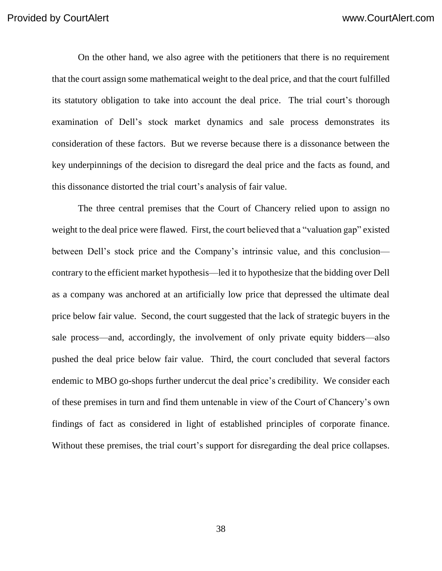On the other hand, we also agree with the petitioners that there is no requirement that the court assign some mathematical weight to the deal price, and that the court fulfilled its statutory obligation to take into account the deal price. The trial court's thorough examination of Dell's stock market dynamics and sale process demonstrates its consideration of these factors. But we reverse because there is a dissonance between the key underpinnings of the decision to disregard the deal price and the facts as found, and this dissonance distorted the trial court's analysis of fair value.

The three central premises that the Court of Chancery relied upon to assign no weight to the deal price were flawed. First, the court believed that a "valuation gap" existed between Dell's stock price and the Company's intrinsic value, and this conclusion contrary to the efficient market hypothesis—led it to hypothesize that the bidding over Dell as a company was anchored at an artificially low price that depressed the ultimate deal price below fair value. Second, the court suggested that the lack of strategic buyers in the sale process—and, accordingly, the involvement of only private equity bidders—also pushed the deal price below fair value. Third, the court concluded that several factors endemic to MBO go-shops further undercut the deal price's credibility. We consider each of these premises in turn and find them untenable in view of the Court of Chancery's own findings of fact as considered in light of established principles of corporate finance. Without these premises, the trial court's support for disregarding the deal price collapses.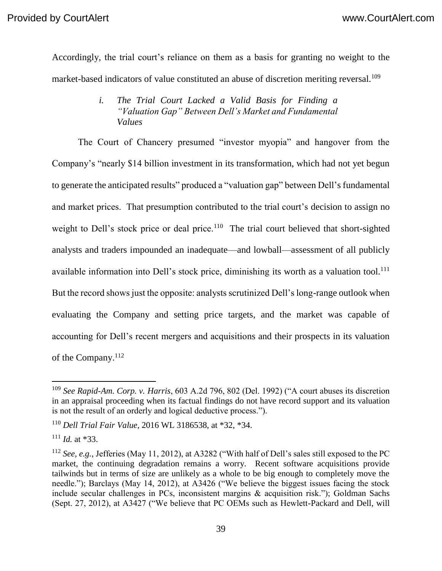Accordingly, the trial court's reliance on them as a basis for granting no weight to the market-based indicators of value constituted an abuse of discretion meriting reversal.<sup>109</sup>

## *i. The Trial Court Lacked a Valid Basis for Finding a "Valuation Gap" Between Dell's Market and Fundamental Values*

The Court of Chancery presumed "investor myopia" and hangover from the Company's "nearly \$14 billion investment in its transformation, which had not yet begun to generate the anticipated results" produced a "valuation gap" between Dell's fundamental and market prices. That presumption contributed to the trial court's decision to assign no weight to Dell's stock price or deal price.<sup>110</sup> The trial court believed that short-sighted analysts and traders impounded an inadequate—and lowball—assessment of all publicly available information into Dell's stock price, diminishing its worth as a valuation tool.<sup>111</sup> But the record shows just the opposite: analysts scrutinized Dell's long-range outlook when evaluating the Company and setting price targets, and the market was capable of accounting for Dell's recent mergers and acquisitions and their prospects in its valuation of the Company.<sup>112</sup>

<sup>109</sup> *See Rapid-Am. Corp. v. Harris*, 603 A.2d 796, 802 (Del. 1992) ("A court abuses its discretion in an appraisal proceeding when its factual findings do not have record support and its valuation is not the result of an orderly and logical deductive process.").

<sup>110</sup> *Dell Trial Fair Value*, 2016 WL 3186538, at \*32, \*34.

<sup>111</sup> *Id.* at \*33.

<sup>112</sup> *See, e.g.*, Jefferies (May 11, 2012), at A3282 ("With half of Dell's sales still exposed to the PC market, the continuing degradation remains a worry. Recent software acquisitions provide tailwinds but in terms of size are unlikely as a whole to be big enough to completely move the needle."); Barclays (May 14, 2012), at A3426 ("We believe the biggest issues facing the stock include secular challenges in PCs, inconsistent margins & acquisition risk."); Goldman Sachs (Sept. 27, 2012), at A3427 ("We believe that PC OEMs such as Hewlett-Packard and Dell, will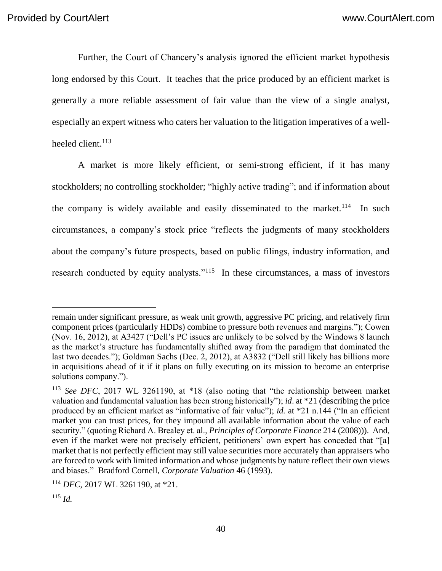Further, the Court of Chancery's analysis ignored the efficient market hypothesis long endorsed by this Court. It teaches that the price produced by an efficient market is generally a more reliable assessment of fair value than the view of a single analyst, especially an expert witness who caters her valuation to the litigation imperatives of a wellheeled client.<sup>113</sup>

A market is more likely efficient, or semi-strong efficient, if it has many stockholders; no controlling stockholder; "highly active trading"; and if information about the company is widely available and easily disseminated to the market.<sup>114</sup> In such circumstances, a company's stock price "reflects the judgments of many stockholders about the company's future prospects, based on public filings, industry information, and research conducted by equity analysts."<sup>115</sup> In these circumstances, a mass of investors

remain under significant pressure, as weak unit growth, aggressive PC pricing, and relatively firm component prices (particularly HDDs) combine to pressure both revenues and margins."); Cowen (Nov. 16, 2012), at A3427 ("Dell's PC issues are unlikely to be solved by the Windows 8 launch as the market's structure has fundamentally shifted away from the paradigm that dominated the last two decades."); Goldman Sachs (Dec. 2, 2012), at A3832 ("Dell still likely has billions more in acquisitions ahead of it if it plans on fully executing on its mission to become an enterprise solutions company.").

<sup>113</sup> *See DFC*, 2017 WL 3261190, at \*18 (also noting that "the relationship between market valuation and fundamental valuation has been strong historically"); *id*. at \*21 (describing the price produced by an efficient market as "informative of fair value"); *id.* at \*21 n.144 ("In an efficient market you can trust prices, for they impound all available information about the value of each security." (quoting Richard A. Brealey et. al., *Principles of Corporate Finance* 214 (2008))). And, even if the market were not precisely efficient, petitioners' own expert has conceded that "[a] market that is not perfectly efficient may still value securities more accurately than appraisers who are forced to work with limited information and whose judgments by nature reflect their own views and biases." Bradford Cornell, *Corporate Valuation* 46 (1993).

<sup>114</sup> *DFC*, 2017 WL 3261190, at \*21.

 $^{115}$  *Id.*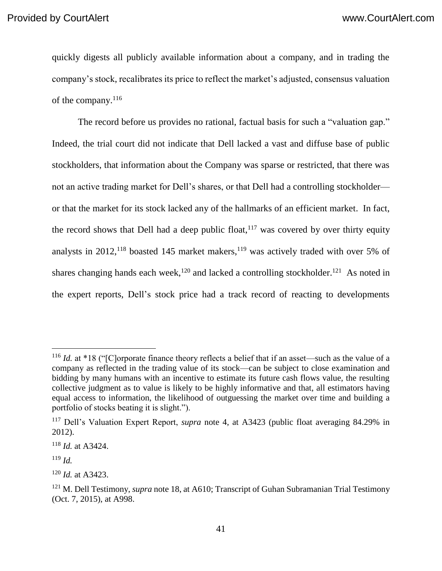quickly digests all publicly available information about a company, and in trading the company's stock, recalibrates its price to reflect the market's adjusted, consensus valuation of the company.<sup>116</sup>

The record before us provides no rational, factual basis for such a "valuation gap." Indeed, the trial court did not indicate that Dell lacked a vast and diffuse base of public stockholders, that information about the Company was sparse or restricted, that there was not an active trading market for Dell's shares, or that Dell had a controlling stockholder or that the market for its stock lacked any of the hallmarks of an efficient market. In fact, the record shows that Dell had a deep public float,  $117$  was covered by over thirty equity analysts in  $2012$ ,  $118$  boasted 145 market makers,  $119$  was actively traded with over 5% of shares changing hands each week,<sup>120</sup> and lacked a controlling stockholder.<sup>121</sup> As noted in the expert reports, Dell's stock price had a track record of reacting to developments

<sup>&</sup>lt;sup>116</sup> *Id.* at \*18 ("[C]orporate finance theory reflects a belief that if an asset—such as the value of a company as reflected in the trading value of its stock—can be subject to close examination and bidding by many humans with an incentive to estimate its future cash flows value, the resulting collective judgment as to value is likely to be highly informative and that, all estimators having equal access to information, the likelihood of outguessing the market over time and building a portfolio of stocks beating it is slight.").

<sup>117</sup> Dell's Valuation Expert Report, *supra* note 4, at A3423 (public float averaging 84.29% in 2012).

<sup>118</sup> *Id.* at A3424.

<sup>119</sup> *Id.*

<sup>120</sup> *Id.* at A3423.

<sup>121</sup> M. Dell Testimony, *supra* note 18, at A610; Transcript of Guhan Subramanian Trial Testimony (Oct. 7, 2015), at A998.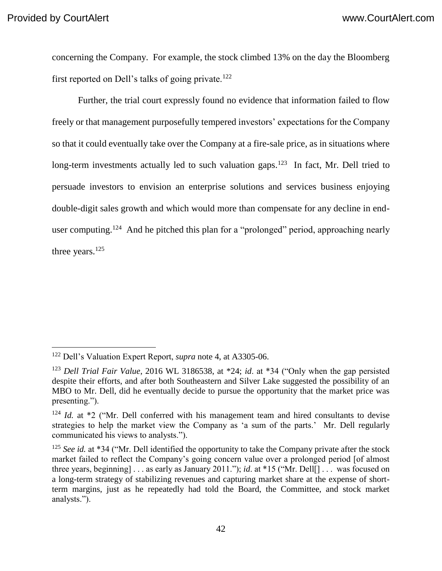concerning the Company. For example, the stock climbed 13% on the day the Bloomberg first reported on Dell's talks of going private.<sup>122</sup>

Further, the trial court expressly found no evidence that information failed to flow freely or that management purposefully tempered investors' expectations for the Company so that it could eventually take over the Company at a fire-sale price, as in situations where long-term investments actually led to such valuation gaps.<sup>123</sup> In fact, Mr. Dell tried to persuade investors to envision an enterprise solutions and services business enjoying double-digit sales growth and which would more than compensate for any decline in enduser computing.<sup>124</sup> And he pitched this plan for a "prolonged" period, approaching nearly three years.<sup>125</sup>

<sup>122</sup> Dell's Valuation Expert Report, *supra* note 4, at A3305-06.

<sup>123</sup> *Dell Trial Fair Value*, 2016 WL 3186538, at \*24; *id*. at \*34 ("Only when the gap persisted despite their efforts, and after both Southeastern and Silver Lake suggested the possibility of an MBO to Mr. Dell, did he eventually decide to pursue the opportunity that the market price was presenting.").

<sup>&</sup>lt;sup>124</sup> *Id.* at \*2 ("Mr. Dell conferred with his management team and hired consultants to devise strategies to help the market view the Company as 'a sum of the parts.' Mr. Dell regularly communicated his views to analysts.").

<sup>125</sup> *See id.* at \*34 ("Mr. Dell identified the opportunity to take the Company private after the stock market failed to reflect the Company's going concern value over a prolonged period [of almost three years, beginning] . . . as early as January 2011."); *id*. at \*15 ("Mr. Dell[] . . . was focused on a long-term strategy of stabilizing revenues and capturing market share at the expense of shortterm margins, just as he repeatedly had told the Board, the Committee, and stock market analysts.").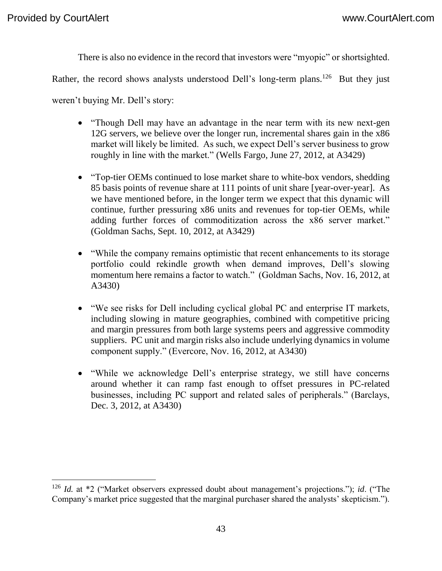There is also no evidence in the record that investors were "myopic" or shortsighted.

Rather, the record shows analysts understood Dell's long-term plans.<sup>126</sup> But they just

weren't buying Mr. Dell's story:

- "Though Dell may have an advantage in the near term with its new next-gen 12G servers, we believe over the longer run, incremental shares gain in the x86 market will likely be limited. As such, we expect Dell's server business to grow roughly in line with the market." (Wells Fargo, June 27, 2012, at A3429)
- "Top-tier OEMs continued to lose market share to white-box vendors, shedding 85 basis points of revenue share at 111 points of unit share [year-over-year]. As we have mentioned before, in the longer term we expect that this dynamic will continue, further pressuring x86 units and revenues for top-tier OEMs, while adding further forces of commoditization across the x86 server market." (Goldman Sachs, Sept. 10, 2012, at A3429)
- "While the company remains optimistic that recent enhancements to its storage portfolio could rekindle growth when demand improves, Dell's slowing momentum here remains a factor to watch." (Goldman Sachs, Nov. 16, 2012, at A3430)
- "We see risks for Dell including cyclical global PC and enterprise IT markets, including slowing in mature geographies, combined with competitive pricing and margin pressures from both large systems peers and aggressive commodity suppliers. PC unit and margin risks also include underlying dynamics in volume component supply." (Evercore, Nov. 16, 2012, at A3430)
- "While we acknowledge Dell's enterprise strategy, we still have concerns around whether it can ramp fast enough to offset pressures in PC-related businesses, including PC support and related sales of peripherals." (Barclays, Dec. 3, 2012, at A3430)

<sup>126</sup> *Id.* at \*2 ("Market observers expressed doubt about management's projections."); *id*. ("The Company's market price suggested that the marginal purchaser shared the analysts' skepticism.").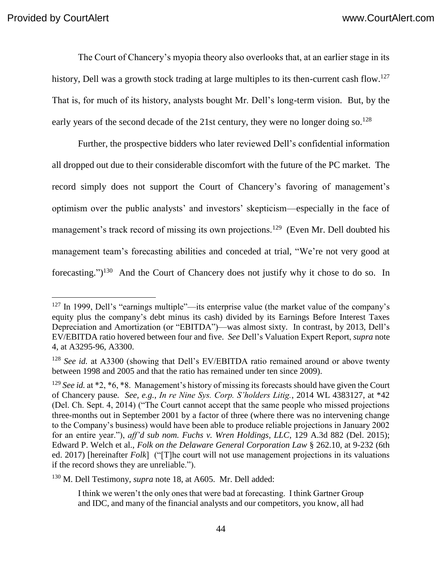The Court of Chancery's myopia theory also overlooks that, at an earlier stage in its history, Dell was a growth stock trading at large multiples to its then-current cash flow.<sup>127</sup> That is, for much of its history, analysts bought Mr. Dell's long-term vision. But, by the early years of the second decade of the 21st century, they were no longer doing so.<sup>128</sup>

Further, the prospective bidders who later reviewed Dell's confidential information all dropped out due to their considerable discomfort with the future of the PC market. The record simply does not support the Court of Chancery's favoring of management's optimism over the public analysts' and investors' skepticism—especially in the face of management's track record of missing its own projections.<sup>129</sup> (Even Mr. Dell doubted his management team's forecasting abilities and conceded at trial, "We're not very good at forecasting.")<sup>130</sup> And the Court of Chancery does not justify why it chose to do so. In

<sup>130</sup> M. Dell Testimony, *supra* note 18, at A605. Mr. Dell added:

 $127$  In 1999, Dell's "earnings multiple"—its enterprise value (the market value of the company's equity plus the company's debt minus its cash) divided by its Earnings Before Interest Taxes Depreciation and Amortization (or "EBITDA")—was almost sixty. In contrast, by 2013, Dell's EV/EBITDA ratio hovered between four and five. *See* Dell's Valuation Expert Report, *supra* note 4, at A3295-96, A3300.

<sup>&</sup>lt;sup>128</sup> *See id.* at A3300 (showing that Dell's EV/EBITDA ratio remained around or above twenty between 1998 and 2005 and that the ratio has remained under ten since 2009).

<sup>&</sup>lt;sup>129</sup> *See id.* at \*2, \*6, \*8. Management's history of missing its forecasts should have given the Court of Chancery pause*. See, e.g.*, *In re Nine Sys. Corp. S'holders Litig.*, 2014 WL 4383127, at \*42 (Del. Ch. Sept. 4, 2014) ("The Court cannot accept that the same people who missed projections three-months out in September 2001 by a factor of three (where there was no intervening change to the Company's business) would have been able to produce reliable projections in January 2002 for an entire year."), *aff'd sub nom. Fuchs v. Wren Holdings, LLC*, 129 A.3d 882 (Del. 2015); Edward P. Welch et al., *Folk on the Delaware General Corporation Law* § 262.10, at 9-232 (6th ed. 2017) [hereinafter *Folk*] ("[T]he court will not use management projections in its valuations if the record shows they are unreliable.").

I think we weren't the only ones that were bad at forecasting. I think Gartner Group and IDC, and many of the financial analysts and our competitors, you know, all had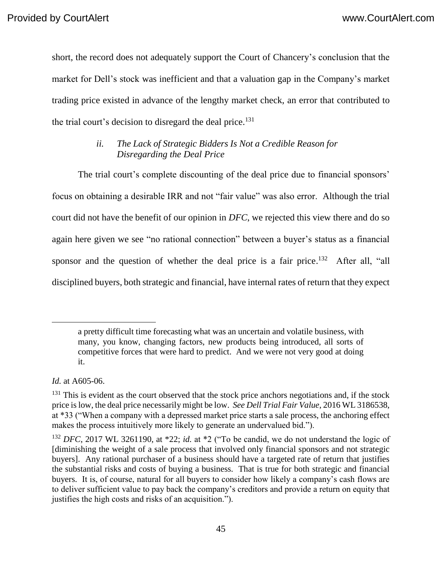short, the record does not adequately support the Court of Chancery's conclusion that the market for Dell's stock was inefficient and that a valuation gap in the Company's market trading price existed in advance of the lengthy market check, an error that contributed to the trial court's decision to disregard the deal price.<sup>131</sup>

# *ii. The Lack of Strategic Bidders Is Not a Credible Reason for Disregarding the Deal Price*

The trial court's complete discounting of the deal price due to financial sponsors' focus on obtaining a desirable IRR and not "fair value" was also error. Although the trial court did not have the benefit of our opinion in *DFC*, we rejected this view there and do so again here given we see "no rational connection" between a buyer's status as a financial sponsor and the question of whether the deal price is a fair price.<sup>132</sup> After all, "all disciplined buyers, both strategic and financial, have internal rates of return that they expect

*Id.* at A605-06.

a pretty difficult time forecasting what was an uncertain and volatile business, with many, you know, changing factors, new products being introduced, all sorts of competitive forces that were hard to predict. And we were not very good at doing it.

 $131$  This is evident as the court observed that the stock price anchors negotiations and, if the stock price is low, the deal price necessarily might be low. *See Dell Trial Fair Value*, 2016 WL 3186538, at \*33 ("When a company with a depressed market price starts a sale process, the anchoring effect makes the process intuitively more likely to generate an undervalued bid.").

<sup>132</sup> *DFC*, 2017 WL 3261190, at \*22; *id.* at \*2 ("To be candid, we do not understand the logic of [diminishing the weight of a sale process that involved only financial sponsors and not strategic buyers]. Any rational purchaser of a business should have a targeted rate of return that justifies the substantial risks and costs of buying a business. That is true for both strategic and financial buyers. It is, of course, natural for all buyers to consider how likely a company's cash flows are to deliver sufficient value to pay back the company's creditors and provide a return on equity that justifies the high costs and risks of an acquisition.").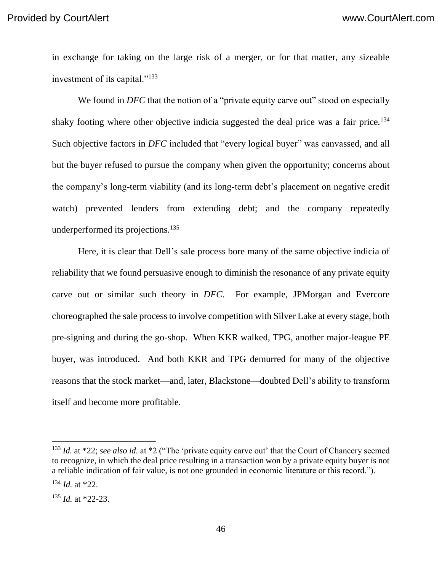in exchange for taking on the large risk of a merger, or for that matter, any sizeable investment of its capital."<sup>133</sup>

We found in *DFC* that the notion of a "private equity carve out" stood on especially shaky footing where other objective indicia suggested the deal price was a fair price.<sup>134</sup> Such objective factors in *DFC* included that "every logical buyer" was canvassed, and all but the buyer refused to pursue the company when given the opportunity; concerns about the company's long-term viability (and its long-term debt's placement on negative credit watch) prevented lenders from extending debt; and the company repeatedly underperformed its projections.<sup>135</sup>

Here, it is clear that Dell's sale process bore many of the same objective indicia of reliability that we found persuasive enough to diminish the resonance of any private equity carve out or similar such theory in *DFC*. For example, JPMorgan and Evercore choreographed the sale process to involve competition with Silver Lake at every stage, both pre-signing and during the go-shop. When KKR walked, TPG, another major-league PE buyer, was introduced. And both KKR and TPG demurred for many of the objective reasons that the stock market—and, later, Blackstone—doubted Dell's ability to transform itself and become more profitable.

<sup>&</sup>lt;sup>133</sup> *Id.* at \*22; *see also id.* at \*2 ("The 'private equity carve out' that the Court of Chancery seemed to recognize, in which the deal price resulting in a transaction won by a private equity buyer is not a reliable indication of fair value, is not one grounded in economic literature or this record.").

<sup>134</sup> *Id.* at \*22.

<sup>135</sup> *Id.* at \*22-23.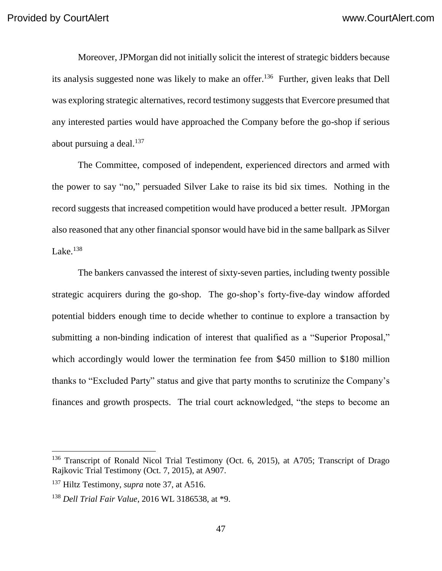Moreover, JPMorgan did not initially solicit the interest of strategic bidders because its analysis suggested none was likely to make an offer. <sup>136</sup> Further, given leaks that Dell was exploring strategic alternatives, record testimony suggests that Evercore presumed that any interested parties would have approached the Company before the go-shop if serious about pursuing a deal. $137$ 

The Committee, composed of independent, experienced directors and armed with the power to say "no," persuaded Silver Lake to raise its bid six times. Nothing in the record suggests that increased competition would have produced a better result. JPMorgan also reasoned that any other financial sponsor would have bid in the same ballpark as Silver Lake. $^{138}$ 

The bankers canvassed the interest of sixty-seven parties, including twenty possible strategic acquirers during the go-shop. The go-shop's forty-five-day window afforded potential bidders enough time to decide whether to continue to explore a transaction by submitting a non-binding indication of interest that qualified as a "Superior Proposal," which accordingly would lower the termination fee from \$450 million to \$180 million thanks to "Excluded Party" status and give that party months to scrutinize the Company's finances and growth prospects. The trial court acknowledged, "the steps to become an

<sup>&</sup>lt;sup>136</sup> Transcript of Ronald Nicol Trial Testimony (Oct. 6, 2015), at A705; Transcript of Drago Rajkovic Trial Testimony (Oct. 7, 2015), at A907.

<sup>137</sup> Hiltz Testimony, *supra* note 37, at A516.

<sup>138</sup> *Dell Trial Fair Value*, 2016 WL 3186538, at \*9.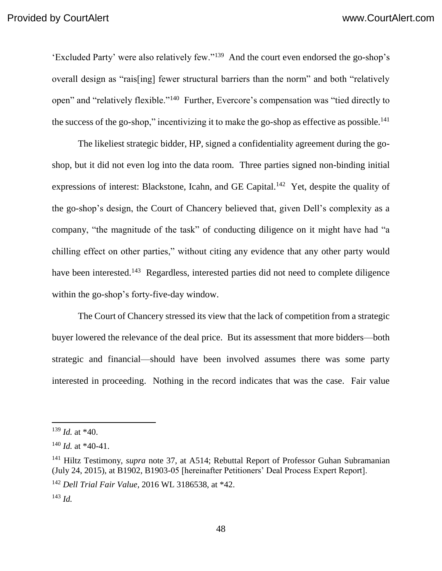'Excluded Party' were also relatively few."<sup>139</sup> And the court even endorsed the go-shop's overall design as "rais[ing] fewer structural barriers than the norm" and both "relatively open" and "relatively flexible."<sup>140</sup> Further, Evercore's compensation was "tied directly to the success of the go-shop," incentivizing it to make the go-shop as effective as possible.<sup>141</sup>

The likeliest strategic bidder, HP, signed a confidentiality agreement during the goshop, but it did not even log into the data room. Three parties signed non-binding initial expressions of interest: Blackstone, Icahn, and GE Capital.<sup>142</sup> Yet, despite the quality of the go-shop's design, the Court of Chancery believed that, given Dell's complexity as a company, "the magnitude of the task" of conducting diligence on it might have had "a chilling effect on other parties," without citing any evidence that any other party would have been interested.<sup>143</sup> Regardless, interested parties did not need to complete diligence within the go-shop's forty-five-day window.

The Court of Chancery stressed its view that the lack of competition from a strategic buyer lowered the relevance of the deal price. But its assessment that more bidders—both strategic and financial—should have been involved assumes there was some party interested in proceeding. Nothing in the record indicates that was the case. Fair value

<sup>139</sup> *Id.* at \*40.

<sup>140</sup> *Id.* at \*40-41.

<sup>141</sup> Hiltz Testimony, *supra* note 37, at A514; Rebuttal Report of Professor Guhan Subramanian (July 24, 2015), at B1902, B1903-05 [hereinafter Petitioners' Deal Process Expert Report].

<sup>142</sup> *Dell Trial Fair Value*, 2016 WL 3186538, at \*42.

<sup>143</sup> *Id.*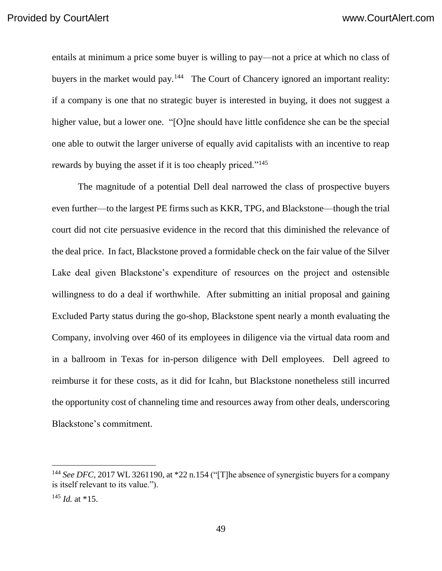entails at minimum a price some buyer is willing to pay—not a price at which no class of buyers in the market would pay.<sup>144</sup> The Court of Chancery ignored an important reality: if a company is one that no strategic buyer is interested in buying, it does not suggest a higher value, but a lower one. "[O]ne should have little confidence she can be the special one able to outwit the larger universe of equally avid capitalists with an incentive to reap rewards by buying the asset if it is too cheaply priced."<sup>145</sup>

The magnitude of a potential Dell deal narrowed the class of prospective buyers even further—to the largest PE firms such as KKR, TPG, and Blackstone—though the trial court did not cite persuasive evidence in the record that this diminished the relevance of the deal price. In fact, Blackstone proved a formidable check on the fair value of the Silver Lake deal given Blackstone's expenditure of resources on the project and ostensible willingness to do a deal if worthwhile. After submitting an initial proposal and gaining Excluded Party status during the go-shop, Blackstone spent nearly a month evaluating the Company, involving over 460 of its employees in diligence via the virtual data room and in a ballroom in Texas for in-person diligence with Dell employees. Dell agreed to reimburse it for these costs, as it did for Icahn, but Blackstone nonetheless still incurred the opportunity cost of channeling time and resources away from other deals, underscoring Blackstone's commitment.

<sup>&</sup>lt;sup>144</sup> See DFC, 2017 WL 3261190, at \*22 n.154 ("[T]he absence of synergistic buyers for a company is itself relevant to its value.").

<sup>145</sup> *Id.* at \*15.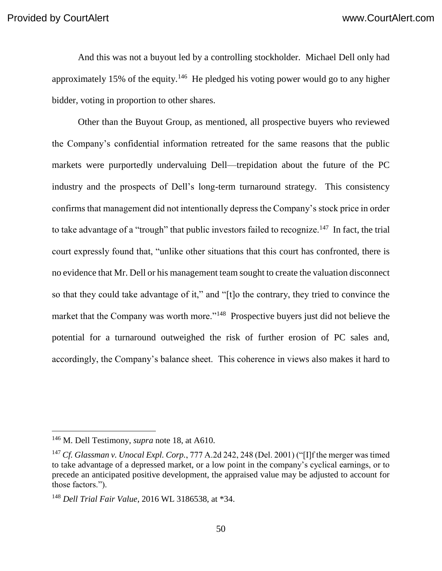And this was not a buyout led by a controlling stockholder. Michael Dell only had approximately 15% of the equity.<sup>146</sup> He pledged his voting power would go to any higher bidder, voting in proportion to other shares.

Other than the Buyout Group, as mentioned, all prospective buyers who reviewed the Company's confidential information retreated for the same reasons that the public markets were purportedly undervaluing Dell—trepidation about the future of the PC industry and the prospects of Dell's long-term turnaround strategy. This consistency confirms that management did not intentionally depress the Company's stock price in order to take advantage of a "trough" that public investors failed to recognize.<sup>147</sup> In fact, the trial court expressly found that, "unlike other situations that this court has confronted, there is no evidence that Mr. Dell or his management team sought to create the valuation disconnect so that they could take advantage of it," and "[t]o the contrary, they tried to convince the market that the Company was worth more."<sup>148</sup> Prospective buyers just did not believe the potential for a turnaround outweighed the risk of further erosion of PC sales and, accordingly, the Company's balance sheet. This coherence in views also makes it hard to

<sup>146</sup> M. Dell Testimony, *supra* note 18, at A610.

<sup>147</sup> *Cf. Glassman v. Unocal Expl. Corp.*, 777 A.2d 242, 248 (Del. 2001) ("[I]f the merger was timed to take advantage of a depressed market, or a low point in the company's cyclical earnings, or to precede an anticipated positive development, the appraised value may be adjusted to account for those factors.").

<sup>148</sup> *Dell Trial Fair Value*, 2016 WL 3186538, at \*34.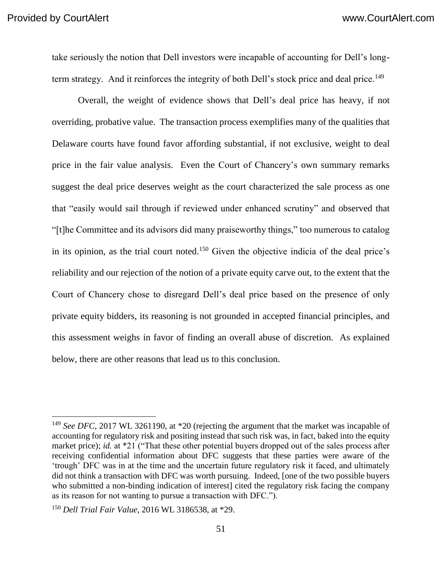take seriously the notion that Dell investors were incapable of accounting for Dell's longterm strategy. And it reinforces the integrity of both Dell's stock price and deal price.<sup>149</sup>

Overall, the weight of evidence shows that Dell's deal price has heavy, if not overriding, probative value. The transaction process exemplifies many of the qualities that Delaware courts have found favor affording substantial, if not exclusive, weight to deal price in the fair value analysis. Even the Court of Chancery's own summary remarks suggest the deal price deserves weight as the court characterized the sale process as one that "easily would sail through if reviewed under enhanced scrutiny" and observed that "[t]he Committee and its advisors did many praiseworthy things," too numerous to catalog in its opinion, as the trial court noted. <sup>150</sup> Given the objective indicia of the deal price's reliability and our rejection of the notion of a private equity carve out, to the extent that the Court of Chancery chose to disregard Dell's deal price based on the presence of only private equity bidders, its reasoning is not grounded in accepted financial principles, and this assessment weighs in favor of finding an overall abuse of discretion. As explained below, there are other reasons that lead us to this conclusion.

<sup>&</sup>lt;sup>149</sup> *See DFC*, 2017 WL 3261190, at \*20 (rejecting the argument that the market was incapable of accounting for regulatory risk and positing instead that such risk was, in fact, baked into the equity market price); *id.* at \*21 ("That these other potential buyers dropped out of the sales process after receiving confidential information about DFC suggests that these parties were aware of the 'trough' DFC was in at the time and the uncertain future regulatory risk it faced, and ultimately did not think a transaction with DFC was worth pursuing. Indeed, [one of the two possible buyers who submitted a non-binding indication of interest] cited the regulatory risk facing the company as its reason for not wanting to pursue a transaction with DFC.").

<sup>150</sup> *Dell Trial Fair Value*, 2016 WL 3186538, at \*29.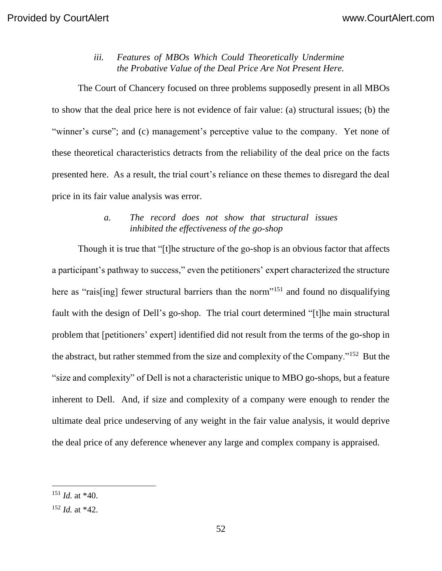## *iii. Features of MBOs Which Could Theoretically Undermine the Probative Value of the Deal Price Are Not Present Here.*

The Court of Chancery focused on three problems supposedly present in all MBOs to show that the deal price here is not evidence of fair value: (a) structural issues; (b) the "winner's curse"; and (c) management's perceptive value to the company. Yet none of these theoretical characteristics detracts from the reliability of the deal price on the facts presented here. As a result, the trial court's reliance on these themes to disregard the deal price in its fair value analysis was error.

## *a. The record does not show that structural issues inhibited the effectiveness of the go-shop*

Though it is true that "[t]he structure of the go-shop is an obvious factor that affects a participant's pathway to success," even the petitioners' expert characterized the structure here as "rais[ing] fewer structural barriers than the norm"<sup>151</sup> and found no disqualifying fault with the design of Dell's go-shop. The trial court determined "[t]he main structural problem that [petitioners' expert] identified did not result from the terms of the go-shop in the abstract, but rather stemmed from the size and complexity of the Company."<sup>152</sup> But the "size and complexity" of Dell is not a characteristic unique to MBO go-shops, but a feature inherent to Dell. And, if size and complexity of a company were enough to render the ultimate deal price undeserving of any weight in the fair value analysis, it would deprive the deal price of any deference whenever any large and complex company is appraised.

<sup>151</sup> *Id.* at \*40.

<sup>152</sup> *Id.* at \*42.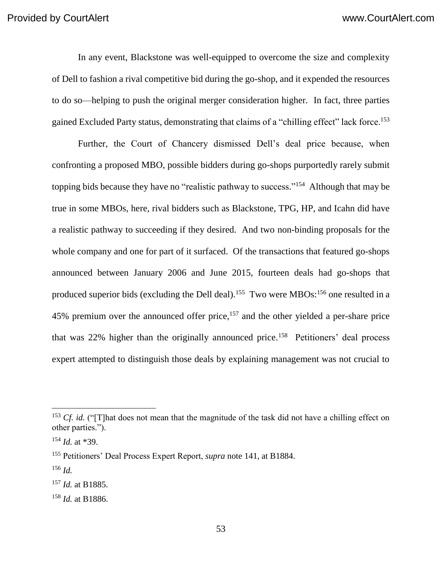In any event, Blackstone was well-equipped to overcome the size and complexity of Dell to fashion a rival competitive bid during the go-shop, and it expended the resources to do so—helping to push the original merger consideration higher. In fact, three parties gained Excluded Party status, demonstrating that claims of a "chilling effect" lack force.<sup>153</sup>

Further, the Court of Chancery dismissed Dell's deal price because, when confronting a proposed MBO, possible bidders during go-shops purportedly rarely submit topping bids because they have no "realistic pathway to success."<sup>154</sup> Although that may be true in some MBOs, here, rival bidders such as Blackstone, TPG, HP, and Icahn did have a realistic pathway to succeeding if they desired. And two non-binding proposals for the whole company and one for part of it surfaced. Of the transactions that featured go-shops announced between January 2006 and June 2015, fourteen deals had go-shops that produced superior bids (excluding the Dell deal).<sup>155</sup> Two were MBOs:<sup>156</sup> one resulted in a 45% premium over the announced offer price,<sup>157</sup> and the other yielded a per-share price that was  $22\%$  higher than the originally announced price.<sup>158</sup> Petitioners' deal process expert attempted to distinguish those deals by explaining management was not crucial to

<sup>&</sup>lt;sup>153</sup> *Cf. id.* ("[T]hat does not mean that the magnitude of the task did not have a chilling effect on other parties.").

<sup>154</sup> *Id.* at \*39.

<sup>155</sup> Petitioners' Deal Process Expert Report, *supra* note 141, at B1884.

<sup>156</sup> *Id.*

<sup>157</sup> *Id.* at B1885.

<sup>158</sup> *Id.* at B1886.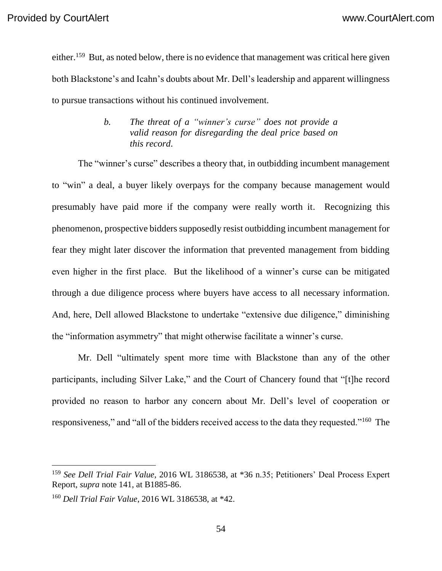either.<sup>159</sup> But, as noted below, there is no evidence that management was critical here given both Blackstone's and Icahn's doubts about Mr. Dell's leadership and apparent willingness to pursue transactions without his continued involvement.

### *b. The threat of a "winner's curse" does not provide a valid reason for disregarding the deal price based on this record.*

The "winner's curse" describes a theory that, in outbidding incumbent management to "win" a deal, a buyer likely overpays for the company because management would presumably have paid more if the company were really worth it. Recognizing this phenomenon, prospective bidders supposedly resist outbidding incumbent management for fear they might later discover the information that prevented management from bidding even higher in the first place. But the likelihood of a winner's curse can be mitigated through a due diligence process where buyers have access to all necessary information. And, here, Dell allowed Blackstone to undertake "extensive due diligence," diminishing the "information asymmetry" that might otherwise facilitate a winner's curse.

Mr. Dell "ultimately spent more time with Blackstone than any of the other participants, including Silver Lake," and the Court of Chancery found that "[t]he record provided no reason to harbor any concern about Mr. Dell's level of cooperation or responsiveness," and "all of the bidders received access to the data they requested."<sup>160</sup> The

<sup>159</sup> *See Dell Trial Fair Value*, 2016 WL 3186538, at \*36 n.35; Petitioners' Deal Process Expert Report, *supra* note 141, at B1885-86.

<sup>160</sup> *Dell Trial Fair Value*, 2016 WL 3186538, at \*42.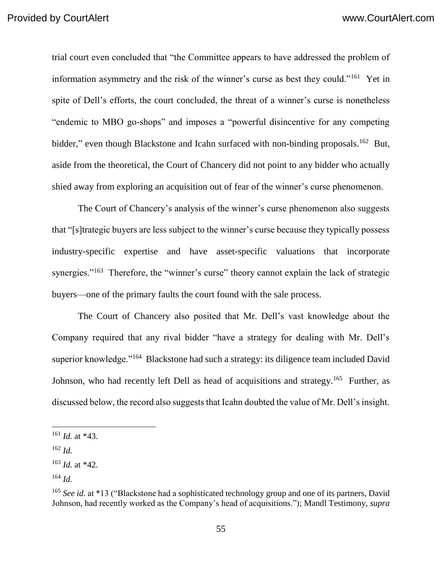trial court even concluded that "the Committee appears to have addressed the problem of information asymmetry and the risk of the winner's curse as best they could."<sup>161</sup> Yet in spite of Dell's efforts, the court concluded, the threat of a winner's curse is nonetheless "endemic to MBO go-shops" and imposes a "powerful disincentive for any competing bidder," even though Blackstone and Icahn surfaced with non-binding proposals.<sup>162</sup> But, aside from the theoretical, the Court of Chancery did not point to any bidder who actually shied away from exploring an acquisition out of fear of the winner's curse phenomenon.

The Court of Chancery's analysis of the winner's curse phenomenon also suggests that "[s]trategic buyers are less subject to the winner's curse because they typically possess industry-specific expertise and have asset-specific valuations that incorporate synergies."<sup>163</sup> Therefore, the "winner's curse" theory cannot explain the lack of strategic buyers—one of the primary faults the court found with the sale process.

The Court of Chancery also posited that Mr. Dell's vast knowledge about the Company required that any rival bidder "have a strategy for dealing with Mr. Dell's superior knowledge."<sup>164</sup> Blackstone had such a strategy: its diligence team included David Johnson, who had recently left Dell as head of acquisitions and strategy.<sup>165</sup> Further, as discussed below, the record also suggests that Icahn doubted the value of Mr. Dell's insight.

<sup>161</sup> *Id.* at \*43.

<sup>162</sup> *Id.*

<sup>163</sup> *Id.* at \*42.

<sup>164</sup> *Id.*

<sup>&</sup>lt;sup>165</sup> See id. at \*13 ("Blackstone had a sophisticated technology group and one of its partners, David Johnson, had recently worked as the Company's head of acquisitions."); Mandl Testimony, *supra*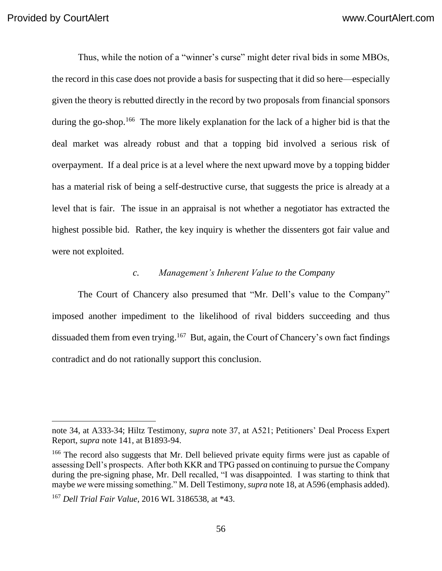Thus, while the notion of a "winner's curse" might deter rival bids in some MBOs, the record in this case does not provide a basis for suspecting that it did so here—especially given the theory is rebutted directly in the record by two proposals from financial sponsors during the go-shop.<sup>166</sup> The more likely explanation for the lack of a higher bid is that the deal market was already robust and that a topping bid involved a serious risk of overpayment. If a deal price is at a level where the next upward move by a topping bidder has a material risk of being a self-destructive curse, that suggests the price is already at a level that is fair. The issue in an appraisal is not whether a negotiator has extracted the highest possible bid. Rather, the key inquiry is whether the dissenters got fair value and were not exploited.

#### *c. Management's Inherent Value to the Company*

The Court of Chancery also presumed that "Mr. Dell's value to the Company" imposed another impediment to the likelihood of rival bidders succeeding and thus dissuaded them from even trying.<sup>167</sup> But, again, the Court of Chancery's own fact findings contradict and do not rationally support this conclusion.

note 34, at A333-34; Hiltz Testimony, *supra* note 37, at A521; Petitioners' Deal Process Expert Report, *supra* note 141, at B1893-94.

<sup>&</sup>lt;sup>166</sup> The record also suggests that Mr. Dell believed private equity firms were just as capable of assessing Dell's prospects. After both KKR and TPG passed on continuing to pursue the Company during the pre-signing phase, Mr. Dell recalled, "I was disappointed. I was starting to think that maybe *we* were missing something." M. Dell Testimony, *supra* note 18, at A596 (emphasis added).

<sup>167</sup> *Dell Trial Fair Value*, 2016 WL 3186538, at \*43.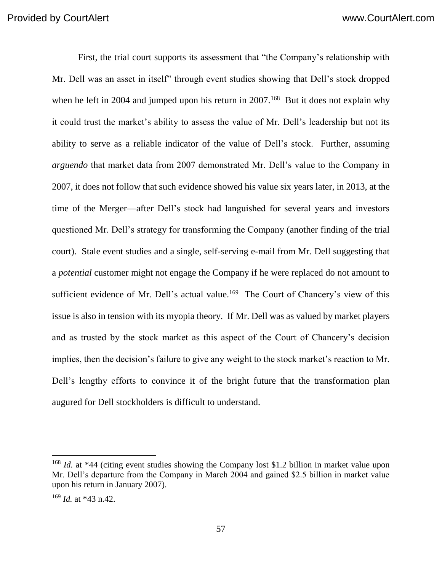First, the trial court supports its assessment that "the Company's relationship with Mr. Dell was an asset in itself" through event studies showing that Dell's stock dropped when he left in 2004 and jumped upon his return in  $2007$ .<sup>168</sup> But it does not explain why it could trust the market's ability to assess the value of Mr. Dell's leadership but not its ability to serve as a reliable indicator of the value of Dell's stock. Further, assuming *arguendo* that market data from 2007 demonstrated Mr. Dell's value to the Company in 2007, it does not follow that such evidence showed his value six years later, in 2013, at the time of the Merger—after Dell's stock had languished for several years and investors questioned Mr. Dell's strategy for transforming the Company (another finding of the trial court). Stale event studies and a single, self-serving e-mail from Mr. Dell suggesting that a *potential* customer might not engage the Company if he were replaced do not amount to sufficient evidence of Mr. Dell's actual value.<sup>169</sup> The Court of Chancery's view of this issue is also in tension with its myopia theory. If Mr. Dell was as valued by market players and as trusted by the stock market as this aspect of the Court of Chancery's decision implies, then the decision's failure to give any weight to the stock market's reaction to Mr. Dell's lengthy efforts to convince it of the bright future that the transformation plan augured for Dell stockholders is difficult to understand.

<sup>&</sup>lt;sup>168</sup> *Id.* at \*44 (citing event studies showing the Company lost \$1.2 billion in market value upon Mr. Dell's departure from the Company in March 2004 and gained \$2.5 billion in market value upon his return in January 2007).

<sup>169</sup> *Id.* at \*43 n.42.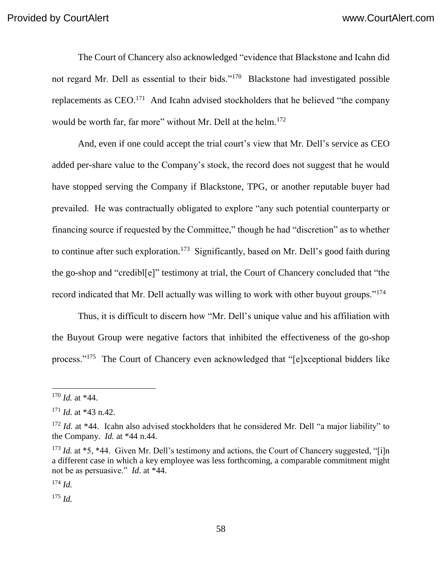The Court of Chancery also acknowledged "evidence that Blackstone and Icahn did not regard Mr. Dell as essential to their bids."<sup>170</sup> Blackstone had investigated possible replacements as  $CEO<sup>171</sup>$  And Icahn advised stockholders that he believed "the company would be worth far, far more" without Mr. Dell at the helm.<sup>172</sup>

And, even if one could accept the trial court's view that Mr. Dell's service as CEO added per-share value to the Company's stock, the record does not suggest that he would have stopped serving the Company if Blackstone, TPG, or another reputable buyer had prevailed. He was contractually obligated to explore "any such potential counterparty or financing source if requested by the Committee," though he had "discretion" as to whether to continue after such exploration.<sup>173</sup> Significantly, based on Mr. Dell's good faith during the go-shop and "credibl[e]" testimony at trial, the Court of Chancery concluded that "the record indicated that Mr. Dell actually was willing to work with other buyout groups."<sup>174</sup>

Thus, it is difficult to discern how "Mr. Dell's unique value and his affiliation with the Buyout Group were negative factors that inhibited the effectiveness of the go-shop process."<sup>175</sup> The Court of Chancery even acknowledged that "[e]xceptional bidders like

 $\overline{a}$ 

<sup>174</sup> *Id.*

<sup>175</sup> *Id.*

<sup>170</sup> *Id.* at \*44.

 $171$  *Id.* at \*43 n.42.

<sup>&</sup>lt;sup>172</sup> *Id.* at \*44. Icahn also advised stockholders that he considered Mr. Dell "a major liability" to the Company. *Id.* at \*44 n.44.

<sup>&</sup>lt;sup>173</sup> *Id.* at \*5, \*44. Given Mr. Dell's testimony and actions, the Court of Chancery suggested, "[i]n a different case in which a key employee was less forthcoming, a comparable commitment might not be as persuasive." *Id*. at \*44.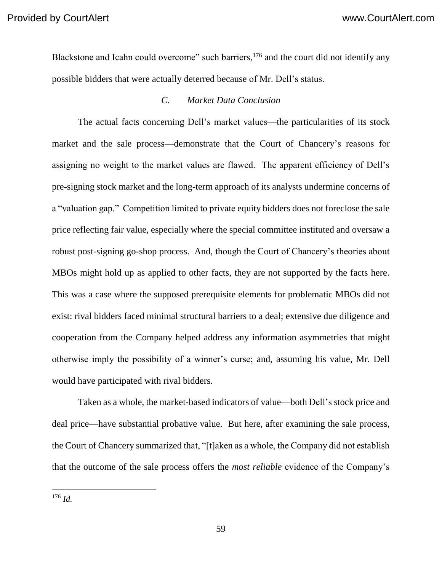Blackstone and Icahn could overcome" such barriers,<sup>176</sup> and the court did not identify any possible bidders that were actually deterred because of Mr. Dell's status.

#### *C. Market Data Conclusion*

The actual facts concerning Dell's market values—the particularities of its stock market and the sale process—demonstrate that the Court of Chancery's reasons for assigning no weight to the market values are flawed. The apparent efficiency of Dell's pre-signing stock market and the long-term approach of its analysts undermine concerns of a "valuation gap." Competition limited to private equity bidders does not foreclose the sale price reflecting fair value, especially where the special committee instituted and oversaw a robust post-signing go-shop process. And, though the Court of Chancery's theories about MBOs might hold up as applied to other facts, they are not supported by the facts here. This was a case where the supposed prerequisite elements for problematic MBOs did not exist: rival bidders faced minimal structural barriers to a deal; extensive due diligence and cooperation from the Company helped address any information asymmetries that might otherwise imply the possibility of a winner's curse; and, assuming his value, Mr. Dell would have participated with rival bidders.

Taken as a whole, the market-based indicators of value—both Dell's stock price and deal price—have substantial probative value. But here, after examining the sale process, the Court of Chancery summarized that, "[t]aken as a whole, the Company did not establish that the outcome of the sale process offers the *most reliable* evidence of the Company's

<sup>176</sup> *Id.*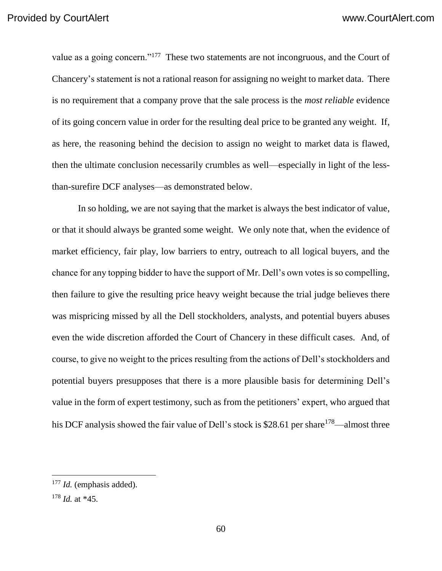value as a going concern."<sup>177</sup> These two statements are not incongruous, and the Court of Chancery's statement is not a rational reason for assigning no weight to market data. There is no requirement that a company prove that the sale process is the *most reliable* evidence of its going concern value in order for the resulting deal price to be granted any weight. If, as here, the reasoning behind the decision to assign no weight to market data is flawed, then the ultimate conclusion necessarily crumbles as well—especially in light of the lessthan-surefire DCF analyses—as demonstrated below.

In so holding, we are not saying that the market is always the best indicator of value, or that it should always be granted some weight. We only note that, when the evidence of market efficiency, fair play, low barriers to entry, outreach to all logical buyers, and the chance for any topping bidder to have the support of Mr. Dell's own votes is so compelling, then failure to give the resulting price heavy weight because the trial judge believes there was mispricing missed by all the Dell stockholders, analysts, and potential buyers abuses even the wide discretion afforded the Court of Chancery in these difficult cases. And, of course, to give no weight to the prices resulting from the actions of Dell's stockholders and potential buyers presupposes that there is a more plausible basis for determining Dell's value in the form of expert testimony, such as from the petitioners' expert, who argued that his DCF analysis showed the fair value of Dell's stock is \$28.61 per share<sup>178</sup>—almost three

<sup>177</sup> *Id.* (emphasis added).

<sup>178</sup> *Id.* at \*45.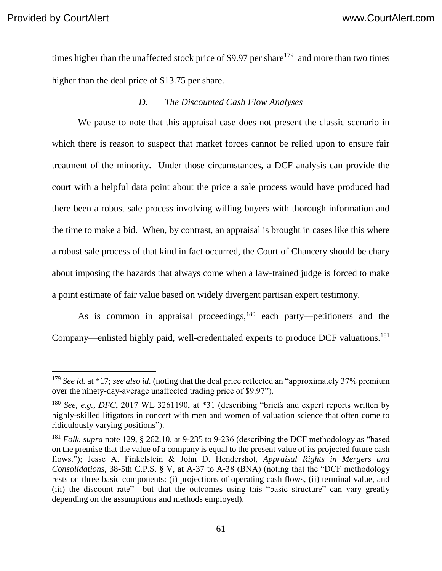times higher than the unaffected stock price of \$9.97 per share<sup>179</sup> and more than two times higher than the deal price of \$13.75 per share.

#### *D. The Discounted Cash Flow Analyses*

We pause to note that this appraisal case does not present the classic scenario in which there is reason to suspect that market forces cannot be relied upon to ensure fair treatment of the minority. Under those circumstances, a DCF analysis can provide the court with a helpful data point about the price a sale process would have produced had there been a robust sale process involving willing buyers with thorough information and the time to make a bid. When, by contrast, an appraisal is brought in cases like this where a robust sale process of that kind in fact occurred, the Court of Chancery should be chary about imposing the hazards that always come when a law-trained judge is forced to make a point estimate of fair value based on widely divergent partisan expert testimony.

As is common in appraisal proceedings,<sup>180</sup> each party—petitioners and the Company—enlisted highly paid, well-credentialed experts to produce DCF valuations.<sup>181</sup>

<sup>&</sup>lt;sup>179</sup> See id. at \*17; see also id. (noting that the deal price reflected an "approximately 37% premium over the ninety-day-average unaffected trading price of \$9.97").

<sup>180</sup> *See, e.g.*, *DFC*, 2017 WL 3261190, at \*31 (describing "briefs and expert reports written by highly-skilled litigators in concert with men and women of valuation science that often come to ridiculously varying positions").

<sup>181</sup> *Folk*, *supra* note 129, § 262.10, at 9-235 to 9-236 (describing the DCF methodology as "based on the premise that the value of a company is equal to the present value of its projected future cash flows."); Jesse A. Finkelstein & John D. Hendershot, *Appraisal Rights in Mergers and Consolidations*, 38-5th C.P.S. § V, at A-37 to A-38 (BNA) (noting that the "DCF methodology rests on three basic components: (i) projections of operating cash flows, (ii) terminal value, and (iii) the discount rate"—but that the outcomes using this "basic structure" can vary greatly depending on the assumptions and methods employed).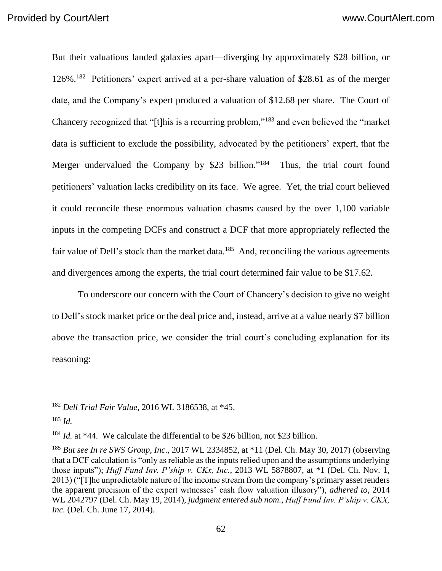But their valuations landed galaxies apart—diverging by approximately \$28 billion, or 126%. 182 Petitioners' expert arrived at a per-share valuation of \$28.61 as of the merger date, and the Company's expert produced a valuation of \$12.68 per share. The Court of Chancery recognized that "[t]his is a recurring problem,"<sup>183</sup> and even believed the "market data is sufficient to exclude the possibility, advocated by the petitioners' expert, that the Merger undervalued the Company by \$23 billion."<sup>184</sup> Thus, the trial court found petitioners' valuation lacks credibility on its face. We agree. Yet, the trial court believed it could reconcile these enormous valuation chasms caused by the over 1,100 variable inputs in the competing DCFs and construct a DCF that more appropriately reflected the fair value of Dell's stock than the market data.<sup>185</sup> And, reconciling the various agreements and divergences among the experts, the trial court determined fair value to be \$17.62.

To underscore our concern with the Court of Chancery's decision to give no weight to Dell's stock market price or the deal price and, instead, arrive at a value nearly \$7 billion above the transaction price, we consider the trial court's concluding explanation for its reasoning:

<sup>182</sup> *Dell Trial Fair Value*, 2016 WL 3186538, at \*45.

<sup>183</sup> *Id.*

<sup>&</sup>lt;sup>184</sup> *Id.* at \*44. We calculate the differential to be \$26 billion, not \$23 billion.

<sup>185</sup> *But see In re SWS Group, Inc*., 2017 WL 2334852, at \*11 (Del. Ch. May 30, 2017) (observing that a DCF calculation is "only as reliable as the inputs relied upon and the assumptions underlying those inputs"); *Huff Fund Inv. P'ship v. CKx, Inc.*, 2013 WL 5878807, at \*1 (Del. Ch. Nov. 1, 2013) ("[T]he unpredictable nature of the income stream from the company's primary asset renders the apparent precision of the expert witnesses' cash flow valuation illusory"), *adhered to*, 2014 WL 2042797 (Del. Ch. May 19, 2014), *judgment entered sub nom.*, *Huff Fund Inv. P'ship v. CKX, Inc.* (Del. Ch. June 17, 2014).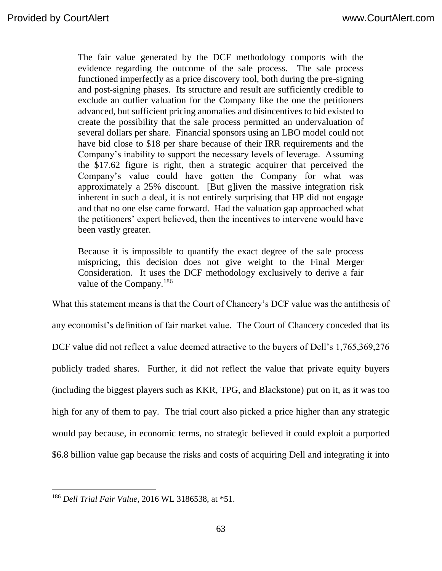The fair value generated by the DCF methodology comports with the evidence regarding the outcome of the sale process. The sale process functioned imperfectly as a price discovery tool, both during the pre-signing and post-signing phases. Its structure and result are sufficiently credible to exclude an outlier valuation for the Company like the one the petitioners advanced, but sufficient pricing anomalies and disincentives to bid existed to create the possibility that the sale process permitted an undervaluation of several dollars per share. Financial sponsors using an LBO model could not have bid close to \$18 per share because of their IRR requirements and the Company's inability to support the necessary levels of leverage. Assuming the \$17.62 figure is right, then a strategic acquirer that perceived the Company's value could have gotten the Company for what was approximately a 25% discount. [But g]iven the massive integration risk inherent in such a deal, it is not entirely surprising that HP did not engage and that no one else came forward. Had the valuation gap approached what the petitioners' expert believed, then the incentives to intervene would have been vastly greater.

Because it is impossible to quantify the exact degree of the sale process mispricing, this decision does not give weight to the Final Merger Consideration. It uses the DCF methodology exclusively to derive a fair value of the Company.<sup>186</sup>

What this statement means is that the Court of Chancery's DCF value was the antithesis of any economist's definition of fair market value. The Court of Chancery conceded that its DCF value did not reflect a value deemed attractive to the buyers of Dell's 1,765,369,276 publicly traded shares. Further, it did not reflect the value that private equity buyers (including the biggest players such as KKR, TPG, and Blackstone) put on it, as it was too high for any of them to pay. The trial court also picked a price higher than any strategic would pay because, in economic terms, no strategic believed it could exploit a purported \$6.8 billion value gap because the risks and costs of acquiring Dell and integrating it into

<sup>186</sup> *Dell Trial Fair Value*, 2016 WL 3186538, at \*51.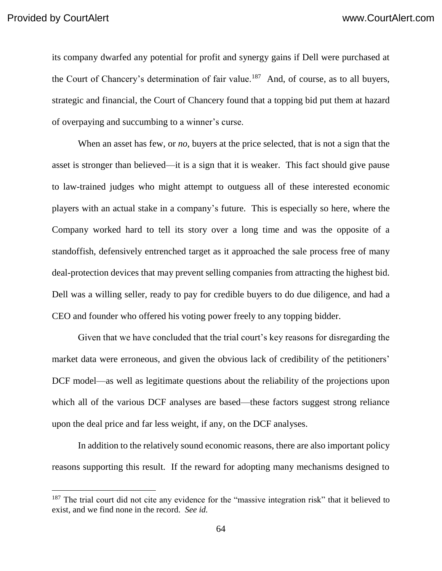its company dwarfed any potential for profit and synergy gains if Dell were purchased at the Court of Chancery's determination of fair value.<sup>187</sup> And, of course, as to all buyers, strategic and financial, the Court of Chancery found that a topping bid put them at hazard of overpaying and succumbing to a winner's curse.

When an asset has few, or *no*, buyers at the price selected, that is not a sign that the asset is stronger than believed—it is a sign that it is weaker. This fact should give pause to law-trained judges who might attempt to outguess all of these interested economic players with an actual stake in a company's future. This is especially so here, where the Company worked hard to tell its story over a long time and was the opposite of a standoffish, defensively entrenched target as it approached the sale process free of many deal-protection devices that may prevent selling companies from attracting the highest bid. Dell was a willing seller, ready to pay for credible buyers to do due diligence, and had a CEO and founder who offered his voting power freely to any topping bidder.

Given that we have concluded that the trial court's key reasons for disregarding the market data were erroneous, and given the obvious lack of credibility of the petitioners' DCF model—as well as legitimate questions about the reliability of the projections upon which all of the various DCF analyses are based—these factors suggest strong reliance upon the deal price and far less weight, if any, on the DCF analyses.

In addition to the relatively sound economic reasons, there are also important policy reasons supporting this result. If the reward for adopting many mechanisms designed to

<sup>&</sup>lt;sup>187</sup> The trial court did not cite any evidence for the "massive integration risk" that it believed to exist, and we find none in the record. *See id.*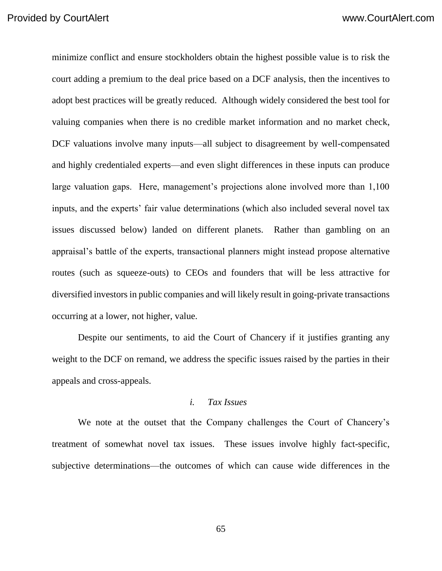minimize conflict and ensure stockholders obtain the highest possible value is to risk the court adding a premium to the deal price based on a DCF analysis, then the incentives to adopt best practices will be greatly reduced. Although widely considered the best tool for valuing companies when there is no credible market information and no market check, DCF valuations involve many inputs—all subject to disagreement by well-compensated and highly credentialed experts—and even slight differences in these inputs can produce large valuation gaps. Here, management's projections alone involved more than 1,100 inputs, and the experts' fair value determinations (which also included several novel tax issues discussed below) landed on different planets. Rather than gambling on an appraisal's battle of the experts, transactional planners might instead propose alternative routes (such as squeeze-outs) to CEOs and founders that will be less attractive for diversified investors in public companies and will likely result in going-private transactions occurring at a lower, not higher, value.

Despite our sentiments, to aid the Court of Chancery if it justifies granting any weight to the DCF on remand, we address the specific issues raised by the parties in their appeals and cross-appeals.

#### *i. Tax Issues*

We note at the outset that the Company challenges the Court of Chancery's treatment of somewhat novel tax issues. These issues involve highly fact-specific, subjective determinations—the outcomes of which can cause wide differences in the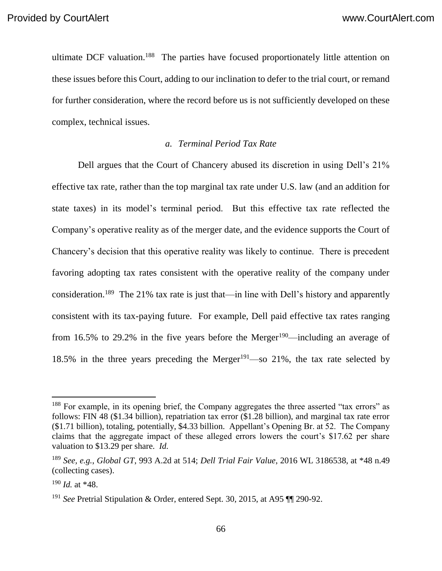ultimate DCF valuation.<sup>188</sup> The parties have focused proportionately little attention on these issues before this Court, adding to our inclination to defer to the trial court, or remand for further consideration, where the record before us is not sufficiently developed on these complex, technical issues.

#### *a. Terminal Period Tax Rate*

Dell argues that the Court of Chancery abused its discretion in using Dell's 21% effective tax rate, rather than the top marginal tax rate under U.S. law (and an addition for state taxes) in its model's terminal period. But this effective tax rate reflected the Company's operative reality as of the merger date, and the evidence supports the Court of Chancery's decision that this operative reality was likely to continue. There is precedent favoring adopting tax rates consistent with the operative reality of the company under consideration.<sup>189</sup> The 21% tax rate is just that—in line with Dell's history and apparently consistent with its tax-paying future. For example, Dell paid effective tax rates ranging from 16.5% to 29.2% in the five years before the Merger<sup>190</sup>—including an average of 18.5% in the three years preceding the Merger<sup>191</sup>—so 21%, the tax rate selected by

<sup>&</sup>lt;sup>188</sup> For example, in its opening brief, the Company aggregates the three asserted "tax errors" as follows: FIN 48 (\$1.34 billion), repatriation tax error (\$1.28 billion), and marginal tax rate error (\$1.71 billion), totaling, potentially, \$4.33 billion. Appellant's Opening Br. at 52. The Company claims that the aggregate impact of these alleged errors lowers the court's \$17.62 per share valuation to \$13.29 per share. *Id.*

<sup>189</sup> *See, e.g.*, *Global GT*, 993 A.2d at 514; *Dell Trial Fair Value*, 2016 WL 3186538, at \*48 n.49 (collecting cases).

<sup>190</sup> *Id.* at \*48.

<sup>191</sup> *See* Pretrial Stipulation & Order, entered Sept. 30, 2015, at A95 ¶¶ 290-92.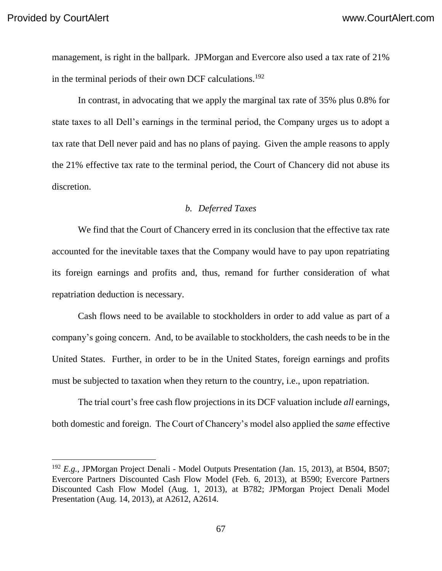management, is right in the ballpark. JPMorgan and Evercore also used a tax rate of 21% in the terminal periods of their own DCF calculations.<sup>192</sup>

In contrast, in advocating that we apply the marginal tax rate of 35% plus 0.8% for state taxes to all Dell's earnings in the terminal period, the Company urges us to adopt a tax rate that Dell never paid and has no plans of paying. Given the ample reasons to apply the 21% effective tax rate to the terminal period, the Court of Chancery did not abuse its discretion.

#### *b. Deferred Taxes*

We find that the Court of Chancery erred in its conclusion that the effective tax rate accounted for the inevitable taxes that the Company would have to pay upon repatriating its foreign earnings and profits and, thus, remand for further consideration of what repatriation deduction is necessary.

Cash flows need to be available to stockholders in order to add value as part of a company's going concern. And, to be available to stockholders, the cash needs to be in the United States. Further, in order to be in the United States, foreign earnings and profits must be subjected to taxation when they return to the country, i.e., upon repatriation.

The trial court's free cash flow projections in its DCF valuation include *all* earnings, both domestic and foreign. The Court of Chancery's model also applied the *same* effective

<sup>192</sup> *E.g.*, JPMorgan Project Denali - Model Outputs Presentation (Jan. 15, 2013), at B504, B507; Evercore Partners Discounted Cash Flow Model (Feb. 6, 2013), at B590; Evercore Partners Discounted Cash Flow Model (Aug. 1, 2013), at B782; JPMorgan Project Denali Model Presentation (Aug. 14, 2013), at A2612, A2614.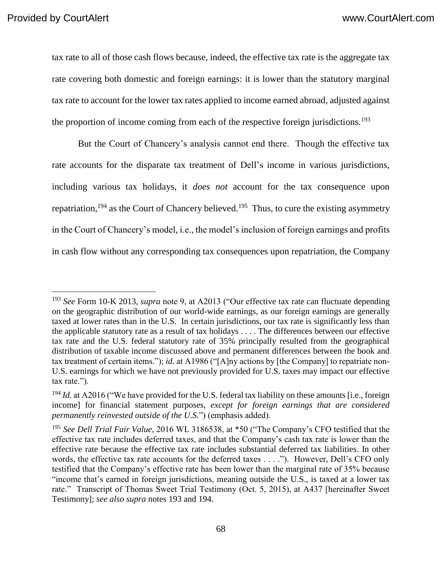tax rate to all of those cash flows because, indeed, the effective tax rate is the aggregate tax rate covering both domestic and foreign earnings: it is lower than the statutory marginal tax rate to account for the lower tax rates applied to income earned abroad, adjusted against the proportion of income coming from each of the respective foreign jurisdictions.<sup>193</sup>

But the Court of Chancery's analysis cannot end there. Though the effective tax rate accounts for the disparate tax treatment of Dell's income in various jurisdictions, including various tax holidays, it *does not* account for the tax consequence upon repatriation,  $194$  as the Court of Chancery believed.  $195$  Thus, to cure the existing asymmetry in the Court of Chancery's model, i.e., the model's inclusion of foreign earnings and profits in cash flow without any corresponding tax consequences upon repatriation, the Company

<sup>193</sup> *See* Form 10-K 2013, *supra* note 9, at A2013 ("Our effective tax rate can fluctuate depending on the geographic distribution of our world-wide earnings, as our foreign earnings are generally taxed at lower rates than in the U.S. In certain jurisdictions, our tax rate is significantly less than the applicable statutory rate as a result of tax holidays . . . . The differences between our effective tax rate and the U.S. federal statutory rate of 35% principally resulted from the geographical distribution of taxable income discussed above and permanent differences between the book and tax treatment of certain items."); *id.* at A1986 ("[A]ny actions by [the Company] to repatriate non-U.S. earnings for which we have not previously provided for U.S. taxes may impact our effective tax rate.").

<sup>&</sup>lt;sup>194</sup> *Id.* at A2016 ("We have provided for the U.S. federal tax liability on these amounts [i.e., foreign income] for financial statement purposes, *except for foreign earnings that are considered permanently reinvested outside of the U.S.*") (emphasis added).

<sup>195</sup> *See Dell Trial Fair Value*, 2016 WL 3186538, at \*50 ("The Company's CFO testified that the effective tax rate includes deferred taxes, and that the Company's cash tax rate is lower than the effective rate because the effective tax rate includes substantial deferred tax liabilities. In other words, the effective tax rate accounts for the deferred taxes . . . ."). However, Dell's CFO only testified that the Company's effective rate has been lower than the marginal rate of 35% because "income that's earned in foreign jurisdictions, meaning outside the U.S., is taxed at a lower tax rate." Transcript of Thomas Sweet Trial Testimony (Oct. 5, 2015), at A437 [hereinafter Sweet Testimony]; *see also supra* notes 193 and 194.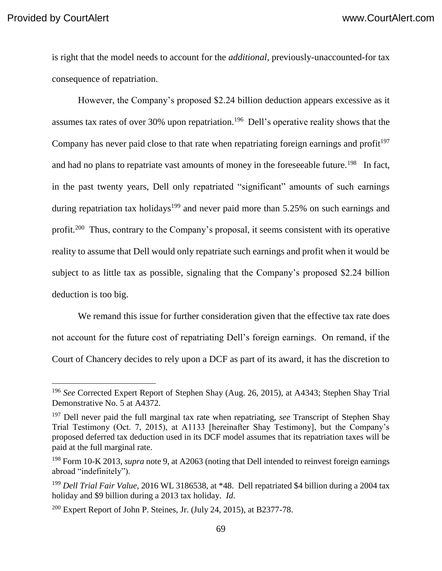is right that the model needs to account for the *additional*, previously-unaccounted-for tax consequence of repatriation.

However, the Company's proposed \$2.24 billion deduction appears excessive as it assumes tax rates of over 30% upon repatriation.<sup>196</sup> Dell's operative reality shows that the Company has never paid close to that rate when repatriating foreign earnings and profit<sup>197</sup> and had no plans to repatriate vast amounts of money in the foreseeable future.<sup>198</sup> In fact, in the past twenty years, Dell only repatriated "significant" amounts of such earnings during repatriation tax holidays<sup>199</sup> and never paid more than 5.25% on such earnings and profit.<sup>200</sup> Thus, contrary to the Company's proposal, it seems consistent with its operative reality to assume that Dell would only repatriate such earnings and profit when it would be subject to as little tax as possible, signaling that the Company's proposed \$2.24 billion deduction is too big.

We remand this issue for further consideration given that the effective tax rate does not account for the future cost of repatriating Dell's foreign earnings. On remand, if the Court of Chancery decides to rely upon a DCF as part of its award, it has the discretion to

<sup>196</sup> *See* Corrected Expert Report of Stephen Shay (Aug. 26, 2015), at A4343; Stephen Shay Trial Demonstrative No. 5 at A4372.

<sup>197</sup> Dell never paid the full marginal tax rate when repatriating, *see* Transcript of Stephen Shay Trial Testimony (Oct. 7, 2015), at A1133 [hereinafter Shay Testimony], but the Company's proposed deferred tax deduction used in its DCF model assumes that its repatriation taxes will be paid at the full marginal rate.

<sup>198</sup> Form 10-K 2013, *supra* note 9, at A2063 (noting that Dell intended to reinvest foreign earnings abroad "indefinitely").

<sup>199</sup> *Dell Trial Fair Value*, 2016 WL 3186538, at \*48. Dell repatriated \$4 billion during a 2004 tax holiday and \$9 billion during a 2013 tax holiday. *Id*.

 $200$  Expert Report of John P. Steines, Jr. (July 24, 2015), at B2377-78.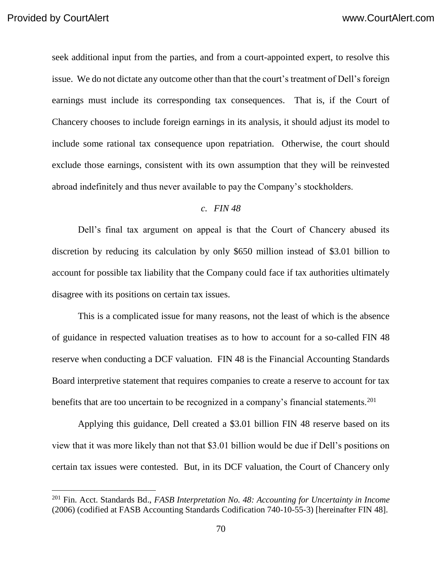seek additional input from the parties, and from a court-appointed expert, to resolve this issue. We do not dictate any outcome other than that the court's treatment of Dell's foreign earnings must include its corresponding tax consequences. That is, if the Court of Chancery chooses to include foreign earnings in its analysis, it should adjust its model to include some rational tax consequence upon repatriation. Otherwise, the court should exclude those earnings, consistent with its own assumption that they will be reinvested abroad indefinitely and thus never available to pay the Company's stockholders.

#### *c. FIN 48*

Dell's final tax argument on appeal is that the Court of Chancery abused its discretion by reducing its calculation by only \$650 million instead of \$3.01 billion to account for possible tax liability that the Company could face if tax authorities ultimately disagree with its positions on certain tax issues.

This is a complicated issue for many reasons, not the least of which is the absence of guidance in respected valuation treatises as to how to account for a so-called FIN 48 reserve when conducting a DCF valuation. FIN 48 is the Financial Accounting Standards Board interpretive statement that requires companies to create a reserve to account for tax benefits that are too uncertain to be recognized in a company's financial statements.<sup>201</sup>

Applying this guidance, Dell created a \$3.01 billion FIN 48 reserve based on its view that it was more likely than not that \$3.01 billion would be due if Dell's positions on certain tax issues were contested. But, in its DCF valuation, the Court of Chancery only

<sup>201</sup> Fin. Acct. Standards Bd., *FASB Interpretation No. 48: Accounting for Uncertainty in Income*  (2006) (codified at FASB Accounting Standards Codification 740-10-55-3) [hereinafter FIN 48].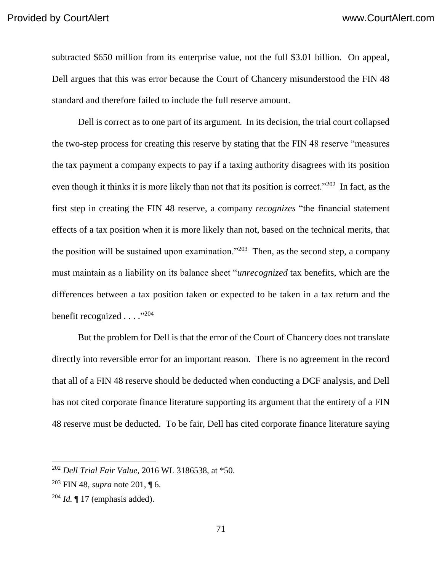subtracted \$650 million from its enterprise value, not the full \$3.01 billion. On appeal, Dell argues that this was error because the Court of Chancery misunderstood the FIN 48 standard and therefore failed to include the full reserve amount.

Dell is correct as to one part of its argument. In its decision, the trial court collapsed the two-step process for creating this reserve by stating that the FIN 48 reserve "measures the tax payment a company expects to pay if a taxing authority disagrees with its position even though it thinks it is more likely than not that its position is correct."<sup>202</sup> In fact, as the first step in creating the FIN 48 reserve, a company *recognizes* "the financial statement effects of a tax position when it is more likely than not, based on the technical merits, that the position will be sustained upon examination."<sup>203</sup> Then, as the second step, a company must maintain as a liability on its balance sheet "*unrecognized* tax benefits, which are the differences between a tax position taken or expected to be taken in a tax return and the benefit recognized . . . ."<sup>204</sup>

But the problem for Dell is that the error of the Court of Chancery does not translate directly into reversible error for an important reason. There is no agreement in the record that all of a FIN 48 reserve should be deducted when conducting a DCF analysis, and Dell has not cited corporate finance literature supporting its argument that the entirety of a FIN 48 reserve must be deducted. To be fair, Dell has cited corporate finance literature saying

<sup>202</sup> *Dell Trial Fair Value*, 2016 WL 3186538, at \*50.

<sup>203</sup> FIN 48, *supra* note 201, ¶ 6.

 $^{204}$  *Id.*  $\llbracket$  17 (emphasis added).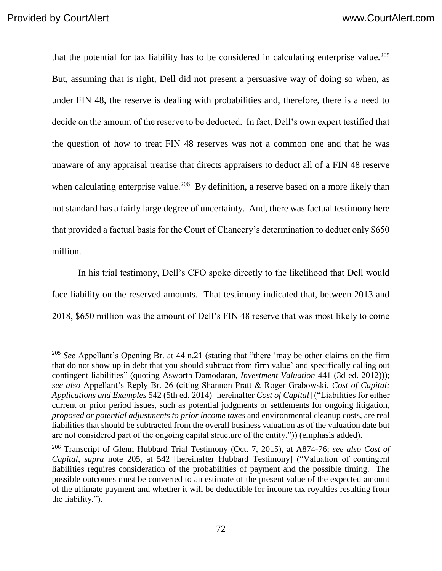that the potential for tax liability has to be considered in calculating enterprise value.<sup>205</sup> But, assuming that is right, Dell did not present a persuasive way of doing so when, as under FIN 48, the reserve is dealing with probabilities and, therefore, there is a need to decide on the amount of the reserve to be deducted. In fact, Dell's own expert testified that the question of how to treat FIN 48 reserves was not a common one and that he was unaware of any appraisal treatise that directs appraisers to deduct all of a FIN 48 reserve when calculating enterprise value.<sup>206</sup> By definition, a reserve based on a more likely than not standard has a fairly large degree of uncertainty. And, there was factual testimony here that provided a factual basis for the Court of Chancery's determination to deduct only \$650 million.

In his trial testimony, Dell's CFO spoke directly to the likelihood that Dell would face liability on the reserved amounts. That testimony indicated that, between 2013 and 2018, \$650 million was the amount of Dell's FIN 48 reserve that was most likely to come

<sup>&</sup>lt;sup>205</sup> See Appellant's Opening Br. at 44 n.21 (stating that "there 'may be other claims on the firm that do not show up in debt that you should subtract from firm value' and specifically calling out contingent liabilities" (quoting Asworth Damodaran, *Investment Valuation* 441 (3d ed. 2012))); *see also* Appellant's Reply Br. 26 (citing Shannon Pratt & Roger Grabowski, *Cost of Capital: Applications and Examples* 542 (5th ed. 2014) [hereinafter *Cost of Capital*] ("Liabilities for either current or prior period issues, such as potential judgments or settlements for ongoing litigation, *proposed or potential adjustments to prior income taxes* and environmental cleanup costs, are real liabilities that should be subtracted from the overall business valuation as of the valuation date but are not considered part of the ongoing capital structure of the entity.")) (emphasis added).

<sup>206</sup> Transcript of Glenn Hubbard Trial Testimony (Oct. 7, 2015), at A874-76; *see also Cost of Capital*, *supra* note 205, at 542 [hereinafter Hubbard Testimony] ("Valuation of contingent liabilities requires consideration of the probabilities of payment and the possible timing. The possible outcomes must be converted to an estimate of the present value of the expected amount of the ultimate payment and whether it will be deductible for income tax royalties resulting from the liability.").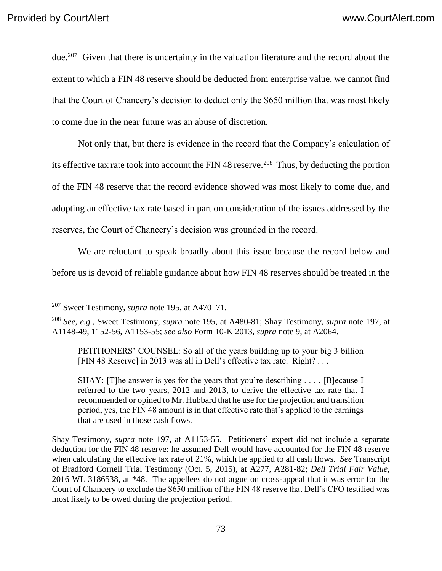due.<sup>207</sup> Given that there is uncertainty in the valuation literature and the record about the extent to which a FIN 48 reserve should be deducted from enterprise value, we cannot find that the Court of Chancery's decision to deduct only the \$650 million that was most likely to come due in the near future was an abuse of discretion.

Not only that, but there is evidence in the record that the Company's calculation of its effective tax rate took into account the FIN 48 reserve.<sup>208</sup> Thus, by deducting the portion of the FIN 48 reserve that the record evidence showed was most likely to come due, and adopting an effective tax rate based in part on consideration of the issues addressed by the reserves, the Court of Chancery's decision was grounded in the record.

We are reluctant to speak broadly about this issue because the record below and before us is devoid of reliable guidance about how FIN 48 reserves should be treated in the

SHAY: [T]he answer is yes for the years that you're describing . . . . [B] ecause I referred to the two years, 2012 and 2013, to derive the effective tax rate that I recommended or opined to Mr. Hubbard that he use for the projection and transition period, yes, the FIN 48 amount is in that effective rate that's applied to the earnings that are used in those cash flows.

Shay Testimony, *supra* note 197, at A1153-55. Petitioners' expert did not include a separate deduction for the FIN 48 reserve: he assumed Dell would have accounted for the FIN 48 reserve when calculating the effective tax rate of 21%, which he applied to all cash flows. *See* Transcript of Bradford Cornell Trial Testimony (Oct. 5, 2015), at A277, A281-82; *Dell Trial Fair Value*, 2016 WL 3186538, at \*48. The appellees do not argue on cross-appeal that it was error for the Court of Chancery to exclude the \$650 million of the FIN 48 reserve that Dell's CFO testified was most likely to be owed during the projection period.

<sup>207</sup> Sweet Testimony, *supra* note 195, at A470–71.

<sup>208</sup> *See, e.g.*, Sweet Testimony, *supra* note 195, at A480-81; Shay Testimony, *supra* note 197, at A1148-49, 1152-56, A1153-55; *see also* Form 10-K 2013, *supra* note 9, at A2064.

PETITIONERS' COUNSEL: So all of the years building up to your big 3 billion [FIN 48 Reserve] in 2013 was all in Dell's effective tax rate. Right? . . .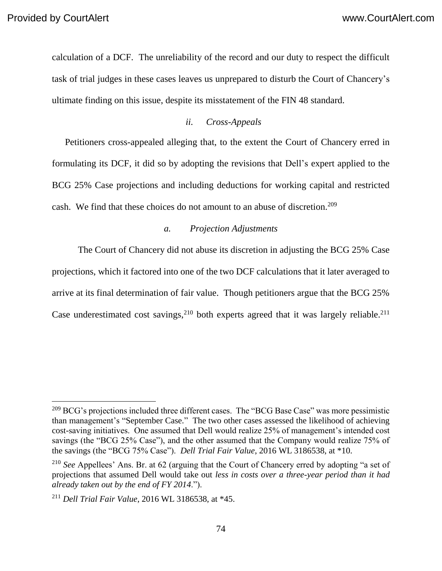calculation of a DCF. The unreliability of the record and our duty to respect the difficult task of trial judges in these cases leaves us unprepared to disturb the Court of Chancery's ultimate finding on this issue, despite its misstatement of the FIN 48 standard.

## *ii. Cross-Appeals*

Petitioners cross-appealed alleging that, to the extent the Court of Chancery erred in formulating its DCF, it did so by adopting the revisions that Dell's expert applied to the BCG 25% Case projections and including deductions for working capital and restricted cash. We find that these choices do not amount to an abuse of discretion.<sup>209</sup>

## *a. Projection Adjustments*

The Court of Chancery did not abuse its discretion in adjusting the BCG 25% Case projections, which it factored into one of the two DCF calculations that it later averaged to arrive at its final determination of fair value. Though petitioners argue that the BCG 25% Case underestimated cost savings,  $2^{10}$  both experts agreed that it was largely reliable.  $2^{11}$ 

<sup>&</sup>lt;sup>209</sup> BCG's projections included three different cases. The "BCG Base Case" was more pessimistic than management's "September Case." The two other cases assessed the likelihood of achieving cost-saving initiatives. One assumed that Dell would realize 25% of management's intended cost savings (the "BCG 25% Case"), and the other assumed that the Company would realize 75% of the savings (the "BCG 75% Case"). *Dell Trial Fair Value*, 2016 WL 3186538, at \*10.

<sup>210</sup> *See* Appellees' Ans. Br. at 62 (arguing that the Court of Chancery erred by adopting "a set of projections that assumed Dell would take out *less in costs over a three-year period than it had already taken out by the end of FY 2014*.").

<sup>211</sup> *Dell Trial Fair Value*, 2016 WL 3186538, at \*45.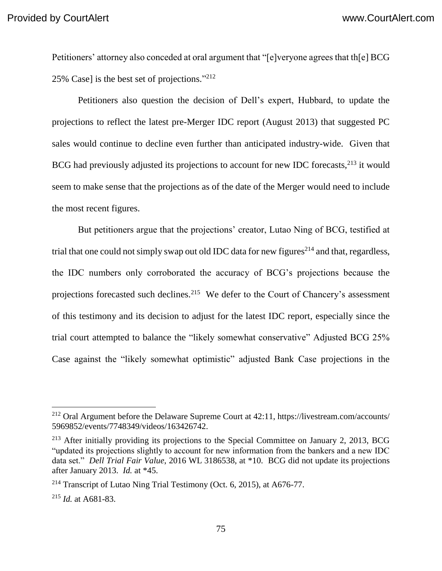Petitioners' attorney also conceded at oral argument that "[e]veryone agrees that th[e] BCG 25% Case] is the best set of projections." 212

Petitioners also question the decision of Dell's expert, Hubbard, to update the projections to reflect the latest pre-Merger IDC report (August 2013) that suggested PC sales would continue to decline even further than anticipated industry-wide. Given that BCG had previously adjusted its projections to account for new IDC forecasts, <sup>213</sup> it would seem to make sense that the projections as of the date of the Merger would need to include the most recent figures.

But petitioners argue that the projections' creator, Lutao Ning of BCG, testified at trial that one could not simply swap out old IDC data for new figures<sup>214</sup> and that, regardless, the IDC numbers only corroborated the accuracy of BCG's projections because the projections forecasted such declines.<sup>215</sup> We defer to the Court of Chancery's assessment of this testimony and its decision to adjust for the latest IDC report, especially since the trial court attempted to balance the "likely somewhat conservative" Adjusted BCG 25% Case against the "likely somewhat optimistic" adjusted Bank Case projections in the

 $^{212}$  Oral Argument before the Delaware Supreme Court at 42:11, https://livestream.com/accounts/ 5969852/events/7748349/videos/163426742.

 $213$  After initially providing its projections to the Special Committee on January 2, 2013, BCG "updated its projections slightly to account for new information from the bankers and a new IDC data set." *Dell Trial Fair Value*, 2016 WL 3186538, at \*10. BCG did not update its projections after January 2013. *Id.* at \*45.

<sup>&</sup>lt;sup>214</sup> Transcript of Lutao Ning Trial Testimony (Oct. 6, 2015), at A676-77.

<sup>215</sup> *Id.* at A681-83.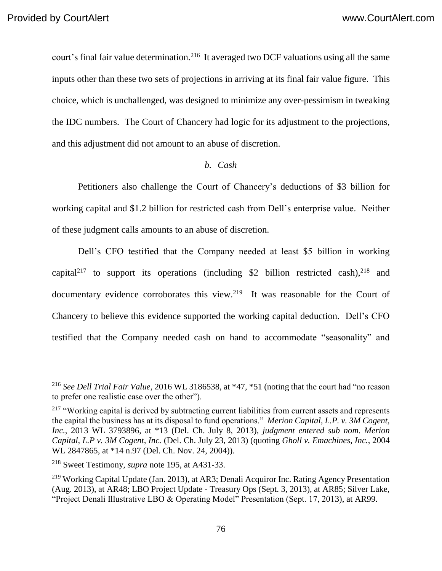court's final fair value determination.<sup>216</sup> It averaged two DCF valuations using all the same inputs other than these two sets of projections in arriving at its final fair value figure. This choice, which is unchallenged, was designed to minimize any over-pessimism in tweaking the IDC numbers. The Court of Chancery had logic for its adjustment to the projections, and this adjustment did not amount to an abuse of discretion.

## *b. Cash*

Petitioners also challenge the Court of Chancery's deductions of \$3 billion for working capital and \$1.2 billion for restricted cash from Dell's enterprise value. Neither of these judgment calls amounts to an abuse of discretion.

Dell's CFO testified that the Company needed at least \$5 billion in working capital<sup>217</sup> to support its operations (including \$2 billion restricted cash),  $2^{18}$  and documentary evidence corroborates this view.<sup>219</sup> It was reasonable for the Court of Chancery to believe this evidence supported the working capital deduction. Dell's CFO testified that the Company needed cash on hand to accommodate "seasonality" and

<sup>216</sup> *See Dell Trial Fair Value*, 2016 WL 3186538, at \*47, \*51 (noting that the court had "no reason to prefer one realistic case over the other").

<sup>&</sup>lt;sup>217</sup> "Working capital is derived by subtracting current liabilities from current assets and represents the capital the business has at its disposal to fund operations." *Merion Capital, L.P. v. 3M Cogent, Inc.*, 2013 WL 3793896, at \*13 (Del. Ch. July 8, 2013), *judgment entered sub nom. Merion Capital, L.P v. 3M Cogent, Inc.* (Del. Ch. July 23, 2013) (quoting *Gholl v. Emachines, Inc.*, 2004 WL 2847865, at \*14 n.97 (Del. Ch. Nov. 24, 2004)).

<sup>218</sup> Sweet Testimony, *supra* note 195, at A431-33.

<sup>&</sup>lt;sup>219</sup> Working Capital Update (Jan. 2013), at AR3; Denali Acquiror Inc. Rating Agency Presentation (Aug. 2013), at AR48; LBO Project Update - Treasury Ops (Sept. 3, 2013), at AR85; Silver Lake, "Project Denali Illustrative LBO & Operating Model" Presentation (Sept. 17, 2013), at AR99.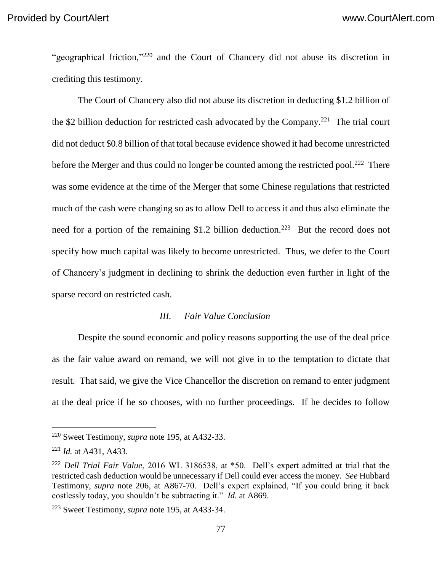"geographical friction,"<sup>220</sup> and the Court of Chancery did not abuse its discretion in crediting this testimony.

The Court of Chancery also did not abuse its discretion in deducting \$1.2 billion of the \$2 billion deduction for restricted cash advocated by the Company.<sup>221</sup> The trial court did not deduct \$0.8 billion of that total because evidence showed it had become unrestricted before the Merger and thus could no longer be counted among the restricted pool.<sup>222</sup> There was some evidence at the time of the Merger that some Chinese regulations that restricted much of the cash were changing so as to allow Dell to access it and thus also eliminate the need for a portion of the remaining \$1.2 billion deduction.<sup>223</sup> But the record does not specify how much capital was likely to become unrestricted. Thus, we defer to the Court of Chancery's judgment in declining to shrink the deduction even further in light of the sparse record on restricted cash.

#### *III. Fair Value Conclusion*

Despite the sound economic and policy reasons supporting the use of the deal price as the fair value award on remand, we will not give in to the temptation to dictate that result. That said, we give the Vice Chancellor the discretion on remand to enter judgment at the deal price if he so chooses, with no further proceedings. If he decides to follow

 $\overline{a}$ 

<sup>220</sup> Sweet Testimony, *supra* note 195, at A432-33.

<sup>221</sup> *Id.* at A431, A433.

<sup>222</sup> *Dell Trial Fair Value*, 2016 WL 3186538, at \*50. Dell's expert admitted at trial that the restricted cash deduction would be unnecessary if Dell could ever access the money. *See* Hubbard Testimony, *supra* note 206, at A867-70. Dell's expert explained, "If you could bring it back costlessly today, you shouldn't be subtracting it." *Id.* at A869.

<sup>223</sup> Sweet Testimony, *supra* note 195, at A433-34.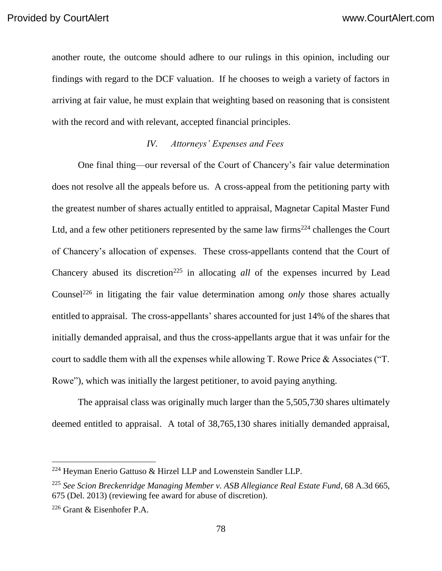another route, the outcome should adhere to our rulings in this opinion, including our findings with regard to the DCF valuation. If he chooses to weigh a variety of factors in arriving at fair value, he must explain that weighting based on reasoning that is consistent with the record and with relevant, accepted financial principles.

# *IV. Attorneys' Expenses and Fees*

One final thing—our reversal of the Court of Chancery's fair value determination does not resolve all the appeals before us. A cross-appeal from the petitioning party with the greatest number of shares actually entitled to appraisal, Magnetar Capital Master Fund Ltd, and a few other petitioners represented by the same law firms<sup>224</sup> challenges the Court of Chancery's allocation of expenses. These cross-appellants contend that the Court of Chancery abused its discretion<sup>225</sup> in allocating *all* of the expenses incurred by Lead Counsel<sup>226</sup> in litigating the fair value determination among *only* those shares actually entitled to appraisal. The cross-appellants' shares accounted for just 14% of the shares that initially demanded appraisal, and thus the cross-appellants argue that it was unfair for the court to saddle them with all the expenses while allowing T. Rowe Price & Associates ("T. Rowe"), which was initially the largest petitioner, to avoid paying anything.

The appraisal class was originally much larger than the 5,505,730 shares ultimately deemed entitled to appraisal. A total of 38,765,130 shares initially demanded appraisal,

 $224$  Heyman Enerio Gattuso & Hirzel LLP and Lowenstein Sandler LLP.

<sup>225</sup> *See Scion Breckenridge Managing Member v. ASB Allegiance Real Estate Fund*, 68 A.3d 665, 675 (Del. 2013) (reviewing fee award for abuse of discretion).

<sup>226</sup> Grant & Eisenhofer P.A.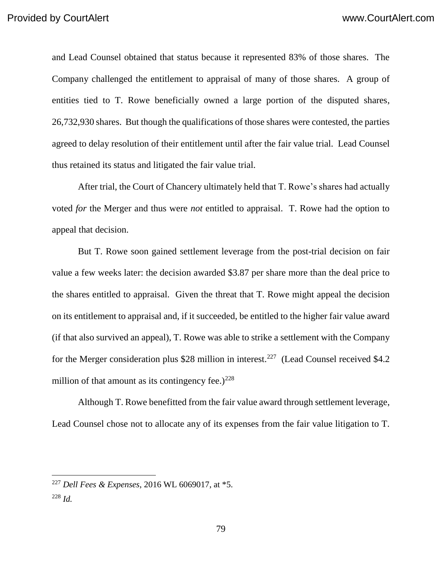and Lead Counsel obtained that status because it represented 83% of those shares. The Company challenged the entitlement to appraisal of many of those shares. A group of entities tied to T. Rowe beneficially owned a large portion of the disputed shares, 26,732,930 shares. But though the qualifications of those shares were contested, the parties agreed to delay resolution of their entitlement until after the fair value trial. Lead Counsel thus retained its status and litigated the fair value trial.

After trial, the Court of Chancery ultimately held that T. Rowe's shares had actually voted *for* the Merger and thus were *not* entitled to appraisal. T. Rowe had the option to appeal that decision.

But T. Rowe soon gained settlement leverage from the post-trial decision on fair value a few weeks later: the decision awarded \$3.87 per share more than the deal price to the shares entitled to appraisal. Given the threat that T. Rowe might appeal the decision on its entitlement to appraisal and, if it succeeded, be entitled to the higher fair value award (if that also survived an appeal), T. Rowe was able to strike a settlement with the Company for the Merger consideration plus \$28 million in interest.<sup>227</sup> (Lead Counsel received \$4.2) million of that amount as its contingency fee.) $^{228}$ 

Although T. Rowe benefitted from the fair value award through settlement leverage, Lead Counsel chose not to allocate any of its expenses from the fair value litigation to T.

<sup>227</sup> *Dell Fees & Expenses*, 2016 WL 6069017, at \*5. <sup>228</sup> *Id.*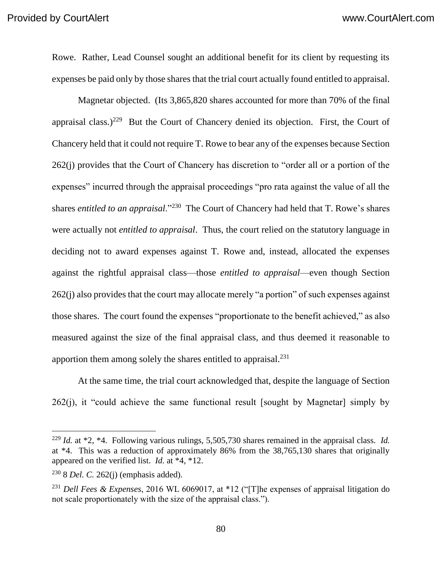Rowe. Rather, Lead Counsel sought an additional benefit for its client by requesting its expenses be paid only by those shares that the trial court actually found entitled to appraisal.

Magnetar objected. (Its 3,865,820 shares accounted for more than 70% of the final appraisal class.)<sup>229</sup> But the Court of Chancery denied its objection. First, the Court of Chancery held that it could not require T. Rowe to bear any of the expenses because Section 262(j) provides that the Court of Chancery has discretion to "order all or a portion of the expenses" incurred through the appraisal proceedings "pro rata against the value of all the shares *entitled to an appraisal*."<sup>230</sup> The Court of Chancery had held that T. Rowe's shares were actually not *entitled to appraisal*. Thus, the court relied on the statutory language in deciding not to award expenses against T. Rowe and, instead, allocated the expenses against the rightful appraisal class—those *entitled to appraisal*—even though Section 262(j) also provides that the court may allocate merely "a portion" of such expenses against those shares. The court found the expenses "proportionate to the benefit achieved," as also measured against the size of the final appraisal class, and thus deemed it reasonable to apportion them among solely the shares entitled to appraisal.<sup>231</sup>

At the same time, the trial court acknowledged that, despite the language of Section  $262(i)$ , it "could achieve the same functional result [sought by Magnetar] simply by

 $\overline{a}$ 

<sup>229</sup> *Id.* at \*2, \*4. Following various rulings, 5,505,730 shares remained in the appraisal class. *Id.* at \*4. This was a reduction of approximately 86% from the 38,765,130 shares that originally appeared on the verified list. *Id.* at \*4, \*12.

<sup>230</sup> 8 *Del. C.* 262(j) (emphasis added).

<sup>231</sup> *Dell Fees & Expenses*, 2016 WL 6069017, at \*12 ("[T]he expenses of appraisal litigation do not scale proportionately with the size of the appraisal class.").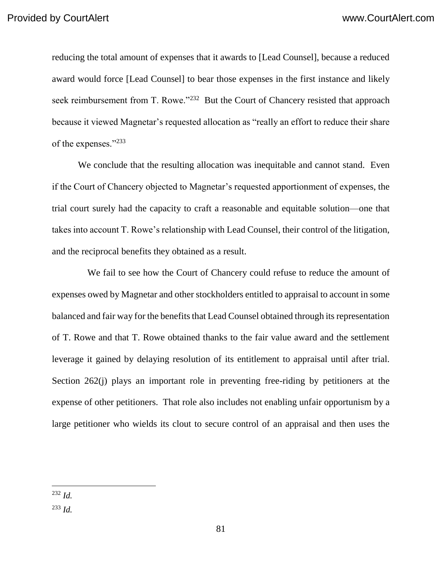reducing the total amount of expenses that it awards to [Lead Counsel], because a reduced award would force [Lead Counsel] to bear those expenses in the first instance and likely seek reimbursement from T. Rowe."<sup>232</sup> But the Court of Chancery resisted that approach because it viewed Magnetar's requested allocation as "really an effort to reduce their share of the expenses."<sup>233</sup>

We conclude that the resulting allocation was inequitable and cannot stand. Even if the Court of Chancery objected to Magnetar's requested apportionment of expenses, the trial court surely had the capacity to craft a reasonable and equitable solution—one that takes into account T. Rowe's relationship with Lead Counsel, their control of the litigation, and the reciprocal benefits they obtained as a result.

 We fail to see how the Court of Chancery could refuse to reduce the amount of expenses owed by Magnetar and other stockholders entitled to appraisal to account in some balanced and fair way for the benefits that Lead Counsel obtained through its representation of T. Rowe and that T. Rowe obtained thanks to the fair value award and the settlement leverage it gained by delaying resolution of its entitlement to appraisal until after trial. Section 262(j) plays an important role in preventing free-riding by petitioners at the expense of other petitioners. That role also includes not enabling unfair opportunism by a large petitioner who wields its clout to secure control of an appraisal and then uses the

 $\overline{a}$ <sup>232</sup> *Id.*

<sup>233</sup> *Id.*